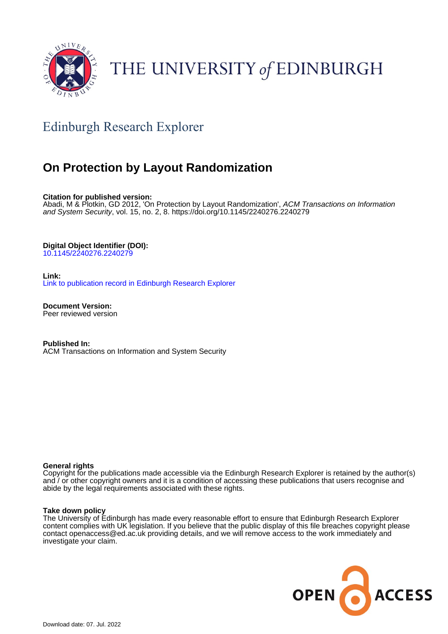

# THE UNIVERSITY of EDINBURGH

# Edinburgh Research Explorer

# **On Protection by Layout Randomization**

**Citation for published version:**

Abadi, M & Plotkin, GD 2012, 'On Protection by Layout Randomization', ACM Transactions on Information and System Security, vol. 15, no. 2, 8.<https://doi.org/10.1145/2240276.2240279>

**Digital Object Identifier (DOI):**

[10.1145/2240276.2240279](https://doi.org/10.1145/2240276.2240279)

**Link:**

[Link to publication record in Edinburgh Research Explorer](https://www.research.ed.ac.uk/en/publications/da43122d-2a0f-42a4-b875-687d08704751)

**Document Version:** Peer reviewed version

**Published In:** ACM Transactions on Information and System Security

# **General rights**

Copyright for the publications made accessible via the Edinburgh Research Explorer is retained by the author(s) and / or other copyright owners and it is a condition of accessing these publications that users recognise and abide by the legal requirements associated with these rights.

# **Take down policy**

The University of Edinburgh has made every reasonable effort to ensure that Edinburgh Research Explorer content complies with UK legislation. If you believe that the public display of this file breaches copyright please contact openaccess@ed.ac.uk providing details, and we will remove access to the work immediately and investigate your claim.

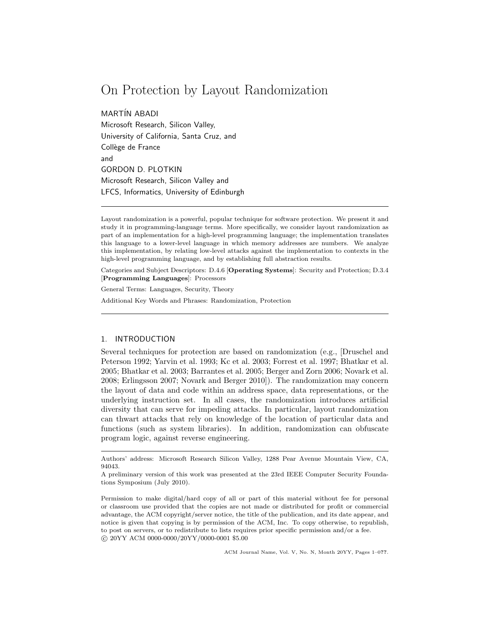# On Protection by Layout Randomization

MARTÍN ABADI Microsoft Research, Silicon Valley, University of California, Santa Cruz, and Collège de France and GORDON D. PLOTKIN Microsoft Research, Silicon Valley and LFCS, Informatics, University of Edinburgh

Layout randomization is a powerful, popular technique for software protection. We present it and study it in programming-language terms. More specifically, we consider layout randomization as part of an implementation for a high-level programming language; the implementation translates this language to a lower-level language in which memory addresses are numbers. We analyze this implementation, by relating low-level attacks against the implementation to contexts in the high-level programming language, and by establishing full abstraction results.

Categories and Subject Descriptors: D.4.6 [Operating Systems]: Security and Protection; D.3.4 [Programming Languages]: Processors

General Terms: Languages, Security, Theory

Additional Key Words and Phrases: Randomization, Protection

# 1. INTRODUCTION

Several techniques for protection are based on randomization (e.g., [Druschel and Peterson 1992; Yarvin et al. 1993; Kc et al. 2003; Forrest et al. 1997; Bhatkar et al. 2005; Bhatkar et al. 2003; Barrantes et al. 2005; Berger and Zorn 2006; Novark et al. 2008; Erlingsson 2007; Novark and Berger 2010]). The randomization may concern the layout of data and code within an address space, data representations, or the underlying instruction set. In all cases, the randomization introduces artificial diversity that can serve for impeding attacks. In particular, layout randomization can thwart attacks that rely on knowledge of the location of particular data and functions (such as system libraries). In addition, randomization can obfuscate program logic, against reverse engineering.

Authors' address: Microsoft Research Silicon Valley, 1288 Pear Avenue Mountain View, CA, 94043.

Permission to make digital/hard copy of all or part of this material without fee for personal or classroom use provided that the copies are not made or distributed for profit or commercial advantage, the ACM copyright/server notice, the title of the publication, and its date appear, and notice is given that copying is by permission of the ACM, Inc. To copy otherwise, to republish, to post on servers, or to redistribute to lists requires prior specific permission and/or a fee. !c 20YY ACM 0000-0000/20YY/0000-0001 \$5.00

ACM Journal Name, Vol. V, No. N, Month 20YY, Pages 1–0??.

A preliminary version of this work was presented at the 23rd IEEE Computer Security Foundations Symposium (July 2010).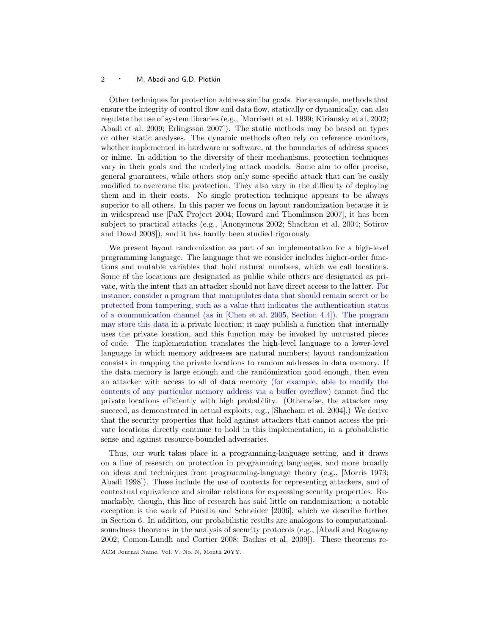Other techniques for protection address similar goals. For example, methods that ensure the integrity of control flow and data flow, statically or dynamically, can also regulate the use of system libraries (e.g., [Morrisett et al. 1999; Kiriansky et al. 2002; Abadi et al. 2009; Erlingsson 2007]). The static methods may be based on types or other static analyses. The dynamic methods often rely on reference monitors, whether implemented in hardware or software, at the boundaries of address spaces or inline. In addition to the diversity of their mechanisms, protection techniques vary in their goals and the underlying attack models. Some aim to offer precise, general guarantees, while others stop only some specific attack that can be easily modified to overcome the protection. They also vary in the difficulty of deploying them and in their costs. No single protection technique appears to be always superior to all others. In this paper we focus on layout randomization because it is in widespread use [PaX Project 2004; Howard and Thomlinson 2007], it has been subject to practical attacks (e.g., [Anonymous 2002; Shacham et al. 2004; Sotirov and Dowd 2008]), and it has hardly been studied rigorously.

We present layout randomization as part of an implementation for a high-level programming language. The language that we consider includes higher-order functions and mutable variables that hold natural numbers, which we call locations. Some of the locations are designated as public while others are designated as private, with the intent that an attacker should not have direct access to the latter. For instance, consider a program that manipulates data that should remain secret or be protected from tampering, such as a value that indicates the authentication status of a communication channel (as in [Chen et al. 2005, Section 4.4]). The program may store this data in a private location; it may publish a function that internally uses the private location, and this function may be invoked by untrusted pieces of code. The implementation translates the high-level language to a lower-level language in which memory addresses are natural numbers; layout randomization consists in mapping the private locations to random addresses in data memory. If the data memory is large enough and the randomization good enough, then even an attacker with access to all of data memory (for example, able to modify the contents of any particular memory address via a buffer overflow) cannot find the private locations efficiently with high probability. (Otherwise, the attacker may succeed, as demonstrated in actual exploits, e.g., [Shacham et al. 2004].) We derive that the security properties that hold against attackers that cannot access the private locations directly continue to hold in this implementation, in a probabilistic sense and against resource-bounded adversaries.

Thus, our work takes place in a programming-language setting, and it draws on a line of research on protection in programming languages, and more broadly on ideas and techniques from programming-language theory (e.g., [Morris 1973; Abadi 1998]). These include the use of contexts for representing attackers, and of contextual equivalence and similar relations for expressing security properties. Remarkably, though, this line of research has said little on randomization; a notable exception is the work of Pucella and Schneider [2006], which we describe further in Section 6. In addition, our probabilistic results are analogous to computationalsoundness theorems in the analysis of security protocols (e.g., [Abadi and Rogaway 2002; Comon-Lundh and Cortier 2008; Backes et al. 2009]). These theorems re-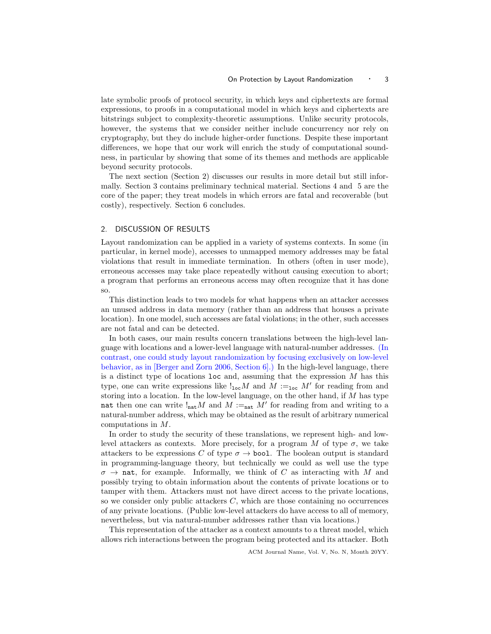late symbolic proofs of protocol security, in which keys and ciphertexts are formal expressions, to proofs in a computational model in which keys and ciphertexts are bitstrings subject to complexity-theoretic assumptions. Unlike security protocols, however, the systems that we consider neither include concurrency nor rely on cryptography, but they do include higher-order functions. Despite these important differences, we hope that our work will enrich the study of computational soundness, in particular by showing that some of its themes and methods are applicable beyond security protocols.

The next section (Section 2) discusses our results in more detail but still informally. Section 3 contains preliminary technical material. Sections 4 and 5 are the core of the paper; they treat models in which errors are fatal and recoverable (but costly), respectively. Section 6 concludes.

# 2. DISCUSSION OF RESULTS

Layout randomization can be applied in a variety of systems contexts. In some (in particular, in kernel mode), accesses to unmapped memory addresses may be fatal violations that result in immediate termination. In others (often in user mode), erroneous accesses may take place repeatedly without causing execution to abort; a program that performs an erroneous access may often recognize that it has done so.

This distinction leads to two models for what happens when an attacker accesses an unused address in data memory (rather than an address that houses a private location). In one model, such accesses are fatal violations; in the other, such accesses are not fatal and can be detected.

In both cases, our main results concern translations between the high-level language with locations and a lower-level language with natural-number addresses. (In contrast, one could study layout randomization by focusing exclusively on low-level behavior, as in [Berger and Zorn 2006, Section 6].) In the high-level language, there is a distinct type of locations  $\text{loc}$  and, assuming that the expression M has this type, one can write expressions like  $l_{\text{loc}}M$  and  $M :=_{\text{loc}} M'$  for reading from and storing into a location. In the low-level language, on the other hand, if M has type nat then one can write  $!_{nat}M$  and  $M :=_{nat} M'$  for reading from and writing to a natural-number address, which may be obtained as the result of arbitrary numerical computations in M.

In order to study the security of these translations, we represent high- and lowlevel attackers as contexts. More precisely, for a program M of type  $\sigma$ , we take attackers to be expressions C of type  $\sigma \rightarrow$  bool. The boolean output is standard in programming-language theory, but technically we could as well use the type  $\sigma \to \text{nat}$ , for example. Informally, we think of C as interacting with M and possibly trying to obtain information about the contents of private locations or to tamper with them. Attackers must not have direct access to the private locations, so we consider only public attackers  $C$ , which are those containing no occurrences of any private locations. (Public low-level attackers do have access to all of memory, nevertheless, but via natural-number addresses rather than via locations.)

This representation of the attacker as a context amounts to a threat model, which allows rich interactions between the program being protected and its attacker. Both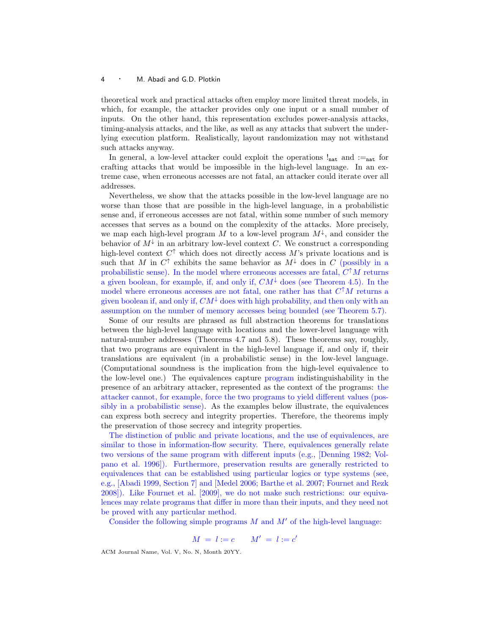theoretical work and practical attacks often employ more limited threat models, in which, for example, the attacker provides only one input or a small number of inputs. On the other hand, this representation excludes power-analysis attacks, timing-analysis attacks, and the like, as well as any attacks that subvert the underlying execution platform. Realistically, layout randomization may not withstand such attacks anyway.

In general, a low-level attacker could exploit the operations  $!_{nat}$  and  $:=_{nat}$  for crafting attacks that would be impossible in the high-level language. In an extreme case, when erroneous accesses are not fatal, an attacker could iterate over all addresses.

Nevertheless, we show that the attacks possible in the low-level language are no worse than those that are possible in the high-level language, in a probabilistic sense and, if erroneous accesses are not fatal, within some number of such memory accesses that serves as a bound on the complexity of the attacks. More precisely, we map each high-level program M to a low-level program  $M^{\downarrow}$ , and consider the behavior of  $M^{\downarrow}$  in an arbitrary low-level context C. We construct a corresponding high-level context  $C^{\dagger}$  which does not directly access M's private locations and is such that M in  $C^{\uparrow}$  exhibits the same behavior as  $M^{\downarrow}$  does in C (possibly in a probabilistic sense). In the model where erroneous accesses are fatal,  $C^{\dagger}M$  returns a given boolean, for example, if, and only if,  $CM^{\downarrow}$  does (see Theorem 4.5). In the model where erroneous accesses are not fatal, one rather has that  $C^{\uparrow}M$  returns a given boolean if, and only if,  $CM^{\downarrow}$  does with high probability, and then only with an assumption on the number of memory accesses being bounded (see Theorem 5.7).

Some of our results are phrased as full abstraction theorems for translations between the high-level language with locations and the lower-level language with natural-number addresses (Theorems 4.7 and 5.8). These theorems say, roughly, that two programs are equivalent in the high-level language if, and only if, their translations are equivalent (in a probabilistic sense) in the low-level language. (Computational soundness is the implication from the high-level equivalence to the low-level one.) The equivalences capture program indistinguishability in the presence of an arbitrary attacker, represented as the context of the programs: the attacker cannot, for example, force the two programs to yield different values (possibly in a probabilistic sense). As the examples below illustrate, the equivalences can express both secrecy and integrity properties. Therefore, the theorems imply the preservation of those secrecy and integrity properties.

The distinction of public and private locations, and the use of equivalences, are similar to those in information-flow security. There, equivalences generally relate two versions of the same program with different inputs (e.g., [Denning 1982; Volpano et al. 1996]). Furthermore, preservation results are generally restricted to equivalences that can be established using particular logics or type systems (see, e.g., [Abadi 1999, Section 7] and [Medel 2006; Barthe et al. 2007; Fournet and Rezk 2008]). Like Fournet et al. [2009], we do not make such restrictions: our equivalences may relate programs that differ in more than their inputs, and they need not be proved with any particular method.

Consider the following simple programs  $M$  and  $M'$  of the high-level language:

$$
M = l := c \qquad M' = l := c'
$$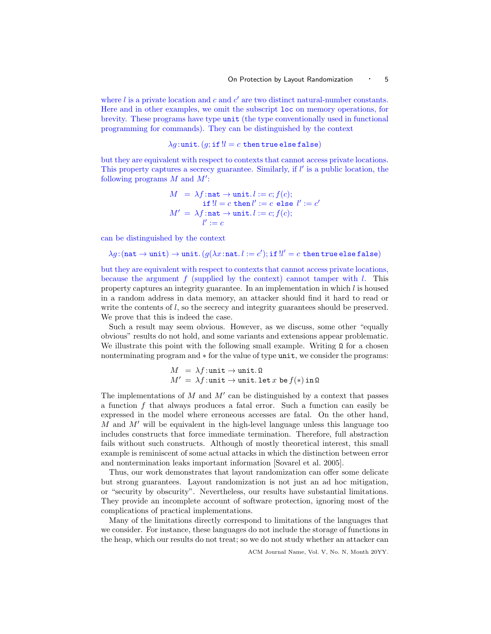where  $l$  is a private location and  $c$  and  $c'$  are two distinct natural-number constants. Here and in other examples, we omit the subscript loc on memory operations, for brevity. These programs have type unit (the type conventionally used in functional programming for commands). They can be distinguished by the context

 $\lambda q$ :unit.  $(q;$  if  $ll = c$  then true else false)

but they are equivalent with respect to contexts that cannot access private locations. This property captures a secrecy guarantee. Similarly, if  $l'$  is a public location, the following programs  $M$  and  $M'$ :

$$
M = \lambda f : \text{nat} \to \text{unit.} l := c; f(c);
$$
  
\nif  $l! = c$  then  $l' := c$  else  $l' := c'$   
\n
$$
M' = \lambda f : \text{nat} \to \text{unit.} l := c; f(c);
$$
  
\n
$$
l' := c
$$

can be distinguished by the context

 $\lambda g\!:\!({\tt nat}\to{\tt unit})\to{\tt unit}.$   $(g(\lambda x.{\tt nat}.$   $l:=c');$  if  $!l'=c$  then true else false)

but they are equivalent with respect to contexts that cannot access private locations, because the argument f (supplied by the context) cannot tamper with  $l$ . This property captures an integrity guarantee. In an implementation in which  $l$  is housed in a random address in data memory, an attacker should find it hard to read or write the contents of l, so the secrecy and integrity guarantees should be preserved. We prove that this is indeed the case.

Such a result may seem obvious. However, as we discuss, some other "equally obvious" results do not hold, and some variants and extensions appear problematic. We illustrate this point with the following small example. Writing  $\Omega$  for a chosen nonterminating program and  $\ast$  for the value of type unit, we consider the programs:

$$
M = \lambda f:\text{unit} \to \text{unit}.\Omega
$$
  

$$
M' = \lambda f:\text{unit} \to \text{unit}. \text{let } x \text{ be } f(*) \text{ in } \Omega
$$

The implementations of  $M$  and  $M'$  can be distinguished by a context that passes a function f that always produces a fatal error. Such a function can easily be expressed in the model where erroneous accesses are fatal. On the other hand, M and  $M'$  will be equivalent in the high-level language unless this language too includes constructs that force immediate termination. Therefore, full abstraction fails without such constructs. Although of mostly theoretical interest, this small example is reminiscent of some actual attacks in which the distinction between error and nontermination leaks important information [Sovarel et al. 2005].

Thus, our work demonstrates that layout randomization can offer some delicate but strong guarantees. Layout randomization is not just an ad hoc mitigation, or "security by obscurity". Nevertheless, our results have substantial limitations. They provide an incomplete account of software protection, ignoring most of the complications of practical implementations.

Many of the limitations directly correspond to limitations of the languages that we consider. For instance, these languages do not include the storage of functions in the heap, which our results do not treat; so we do not study whether an attacker can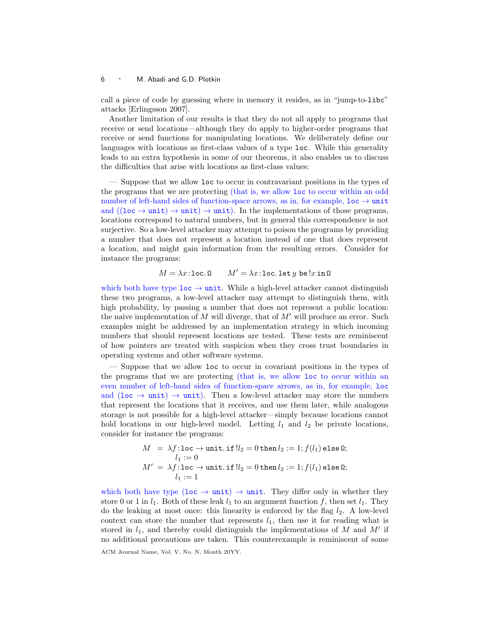call a piece of code by guessing where in memory it resides, as in "jump-to-libc" attacks [Erlingsson 2007].

Another limitation of our results is that they do not all apply to programs that receive or send locations—although they do apply to higher-order programs that receive or send functions for manipulating locations. We deliberately define our languages with locations as first-class values of a type loc. While this generality leads to an extra hypothesis in some of our theorems, it also enables us to discuss the difficulties that arise with locations as first-class values:

— Suppose that we allow loc to occur in contravariant positions in the types of the programs that we are protecting (that is, we allow loc to occur within an odd number of left-hand sides of function-space arrows, as in, for example,  $\texttt{loc} \rightarrow \texttt{unit}$ and  $((\text{loc} \rightarrow \text{unit}) \rightarrow \text{unit})$ . In the implementations of those programs, locations correspond to natural numbers, but in general this correspondence is not surjective. So a low-level attacker may attempt to poison the programs by providing a number that does not represent a location instead of one that does represent a location, and might gain information from the resulting errors. Consider for instance the programs:

 $M = \lambda x: \text{loc. } \Omega$   $M' = \lambda x: \text{loc. } \text{let } y \text{ be } !x \text{ in } \Omega$ 

which both have type  $\text{loc} \to \text{unit}$ . While a high-level attacker cannot distinguish these two programs, a low-level attacker may attempt to distinguish them, with high probability, by passing a number that does not represent a public location: the naive implementation of  $M$  will diverge, that of  $M'$  will produce an error. Such examples might be addressed by an implementation strategy in which incoming numbers that should represent locations are tested. These tests are reminiscent of how pointers are treated with suspicion when they cross trust boundaries in operating systems and other software systems.

— Suppose that we allow loc to occur in covariant positions in the types of the programs that we are protecting (that is, we allow loc to occur within an even number of left-hand sides of function-space arrows, as in, for example, loc and (loc  $\rightarrow$  unit)  $\rightarrow$  unit). Then a low-level attacker may store the numbers that represent the locations that it receives, and use them later, while analogous storage is not possible for a high-level attacker—simply because locations cannot hold locations in our high-level model. Letting  $l_1$  and  $l_2$  be private locations, consider for instance the programs:

$$
\begin{array}{rl} M&=\lambda f{:}1{\mathbf{c}}\cosh \operatorname{unit.\,if} ll_2=0\ \text{then}\ l_2:=1;f(l_1)\ \text{else}\ \Omega;\\ l_1:=0\\ M'&=\lambda f{:}1{\mathbf{c}}\cosh \operatorname{unit.\,if} ll_2=0\ \text{then}\ l_2:=1;f(l_1)\ \text{else}\ \Omega;\\ l_1:=1\end{array}
$$

which both have type (loc  $\rightarrow$  unit)  $\rightarrow$  unit. They differ only in whether they store 0 or 1 in  $l_1$ . Both of these leak  $l_1$  to an argument function f, then set  $l_1$ . They do the leaking at most once: this linearity is enforced by the flag  $l_2$ . A low-level context can store the number that represents  $l_1$ , then use it for reading what is stored in  $l_1$ , and thereby could distinguish the implementations of M and M' if no additional precautions are taken. This counterexample is reminiscent of some

ACM Journal Name, Vol. V, No. N, Month 20YY.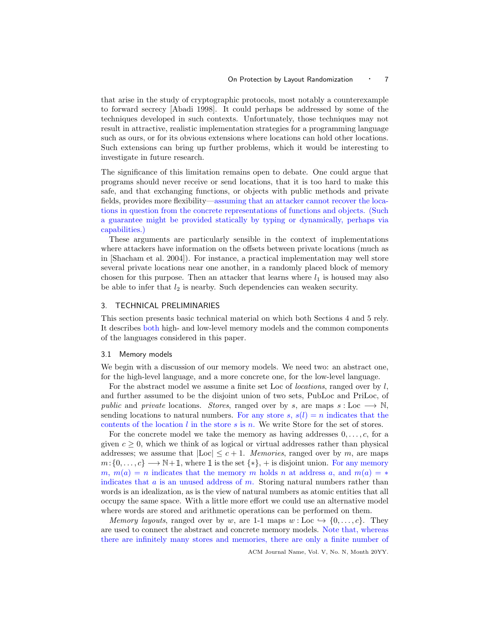that arise in the study of cryptographic protocols, most notably a counterexample to forward secrecy [Abadi 1998]. It could perhaps be addressed by some of the techniques developed in such contexts. Unfortunately, those techniques may not result in attractive, realistic implementation strategies for a programming language such as ours, or for its obvious extensions where locations can hold other locations. Such extensions can bring up further problems, which it would be interesting to investigate in future research.

The significance of this limitation remains open to debate. One could argue that programs should never receive or send locations, that it is too hard to make this safe, and that exchanging functions, or objects with public methods and private fields, provides more flexibility—assuming that an attacker cannot recover the locations in question from the concrete representations of functions and objects. (Such a guarantee might be provided statically by typing or dynamically, perhaps via capabilities.)

These arguments are particularly sensible in the context of implementations where attackers have information on the offsets between private locations (much as in [Shacham et al. 2004]). For instance, a practical implementation may well store several private locations near one another, in a randomly placed block of memory chosen for this purpose. Then an attacker that learns where  $l_1$  is housed may also be able to infer that  $l_2$  is nearby. Such dependencies can weaken security.

#### 3. TECHNICAL PRELIMINARIES

This section presents basic technical material on which both Sections 4 and 5 rely. It describes both high- and low-level memory models and the common components of the languages considered in this paper.

## 3.1 Memory models

We begin with a discussion of our memory models. We need two: an abstract one, for the high-level language, and a more concrete one, for the low-level language.

For the abstract model we assume a finite set Loc of *locations*, ranged over by  $l$ , and further assumed to be the disjoint union of two sets, PubLoc and PriLoc, of public and private locations. Stores, ranged over by s, are maps  $s : Loc \longrightarrow N$ , sending locations to natural numbers. For any store s,  $s(l) = n$  indicates that the contents of the location  $l$  in the store  $s$  is  $n$ . We write Store for the set of stores.

For the concrete model we take the memory as having addresses  $0, \ldots, c$ , for a given  $c \geq 0$ , which we think of as logical or virtual addresses rather than physical addresses; we assume that  $|Loc| \leq c + 1$ . Memories, ranged over by m, are maps  $m:\{0,\ldots,c\}\longrightarrow\mathbb{N}+1$ , where  $\mathbb{1}$  is the set  $\{*\},\$  is disjoint union. For any memory m,  $m(a) = n$  indicates that the memory m holds n at address a, and  $m(a) = *$ indicates that  $a$  is an unused address of  $m$ . Storing natural numbers rather than words is an idealization, as is the view of natural numbers as atomic entities that all occupy the same space. With a little more effort we could use an alternative model where words are stored and arithmetic operations can be performed on them.

Memory layouts, ranged over by w, are 1-1 maps  $w : Loc \hookrightarrow \{0, ..., c\}$ . They are used to connect the abstract and concrete memory models. Note that, whereas there are infinitely many stores and memories, there are only a finite number of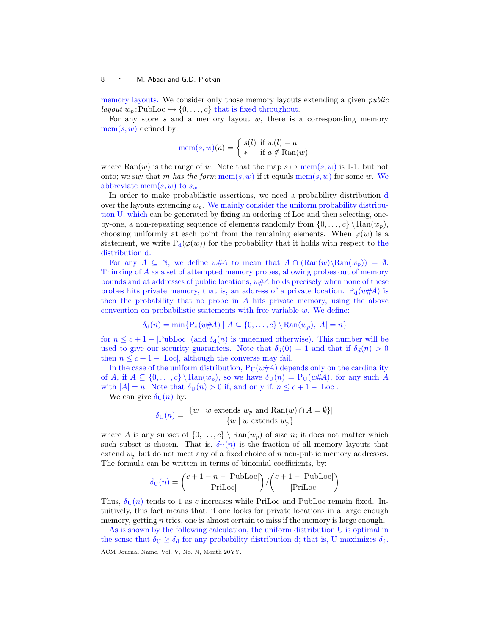memory layouts. We consider only those memory layouts extending a given *public* layout  $w_p : \text{Public} \rightarrow \{0, \ldots, c\}$  that is fixed throughout.

For any store  $s$  and a memory layout  $w$ , there is a corresponding memory  $m(m(s, w))$  defined by:

$$
\text{mem}(s, w)(a) = \begin{cases} s(l) & \text{if } w(l) = a \\ * & \text{if } a \notin \text{Ran}(w) \end{cases}
$$

where  $\text{Ran}(w)$  is the range of w. Note that the map  $s \mapsto \text{mem}(s, w)$  is 1-1, but not onto; we say that m has the form  $\text{mem}(s, w)$  if it equals  $\text{mem}(s, w)$  for some w. We abbreviate mem $(s, w)$  to  $s_w$ .

In order to make probabilistic assertions, we need a probability distribution d over the layouts extending  $w_p$ . We mainly consider the uniform probability distribution U, which can be generated by fixing an ordering of Loc and then selecting, oneby-one, a non-repeating sequence of elements randomly from  $\{0,\ldots,c\} \setminus \text{Ran}(w_p)$ , choosing uniformly at each point from the remaining elements. When  $\varphi(w)$  is a statement, we write  $P_d(\varphi(w))$  for the probability that it holds with respect to the distribution d.

For any  $A \subseteq \mathbb{N}$ , we define  $w\#A$  to mean that  $A \cap (\text{Ran}(w)) \setminus \text{Ran}(w_p) = \emptyset$ . Thinking of A as a set of attempted memory probes, allowing probes out of memory bounds and at addresses of public locations,  $w\#A$  holds precisely when none of these probes hits private memory, that is, an address of a private location.  $P_d(w \# A)$  is then the probability that no probe in A hits private memory, using the above convention on probabilistic statements with free variable  $w$ . We define:

$$
\delta_{\mathrm{d}}(n) = \min\{\mathrm{P}_{\mathrm{d}}(w\#A) \mid A \subseteq \{0,\ldots,c\} \setminus \mathrm{Ran}(w_p), |A| = n\}
$$

for  $n \leq c + 1$  – |PubLoc| (and  $\delta_d(n)$ ) is undefined otherwise). This number will be used to give our security guarantees. Note that  $\delta_d(0) = 1$  and that if  $\delta_d(n) > 0$ then  $n \leq c+1$  – Loc, although the converse may fail.

In the case of the uniform distribution,  $P_U(w\#A)$  depends only on the cardinality of A, if  $A \subseteq \{0, \ldots, c\} \setminus \text{Ran}(w_p)$ , so we have  $\delta_U(n) = \text{P}_U(w \# A)$ , for any such A with  $|A| = n$ . Note that  $\delta_{\mathrm{U}}(n) > 0$  if, and only if,  $n \leq c + 1 - |\text{Loc}|$ .

We can give  $\delta_{\mathrm{U}}(n)$  by:

$$
\delta_{\mathrm{U}}(n) = \frac{|\{w \mid w \text{ extends } w_p \text{ and } \mathrm{Ran}(w) \cap A = \emptyset\}|}{|\{w \mid w \text{ extends } w_p\}|}
$$

where A is any subset of  $\{0,\ldots,c\} \setminus \text{Ran}(w_n)$  of size n; it does not matter which such subset is chosen. That is,  $\delta_U(n)$  is the fraction of all memory layouts that extend  $w_p$  but do not meet any of a fixed choice of n non-public memory addresses. The formula can be written in terms of binomial coefficients, by:

$$
\delta_{\mathrm{U}}(n) = \binom{c+1-n-|\mathrm{PubLoc}|}{|\mathrm{PriLoc}|} / \binom{c+1-|\mathrm{PubLoc}|}{|\mathrm{PriLoc}|}
$$

Thus,  $\delta_{\mathrm{U}}(n)$  tends to 1 as c increases while PriLoc and PubLoc remain fixed. Intuitively, this fact means that, if one looks for private locations in a large enough memory, getting  $n$  tries, one is almost certain to miss if the memory is large enough.

As is shown by the following calculation, the uniform distribution U is optimal in the sense that  $\delta_U \geq \delta_d$  for any probability distribution d; that is, U maximizes  $\delta_d$ . ACM Journal Name, Vol. V, No. N, Month 20YY.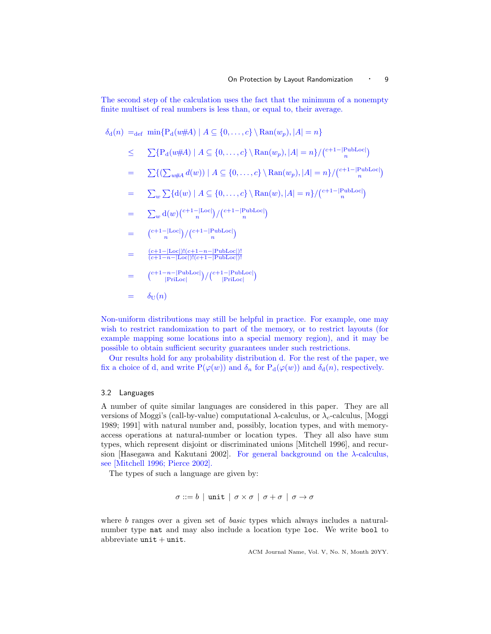The second step of the calculation uses the fact that the minimum of a nonempty finite multiset of real numbers is less than, or equal to, their average.

$$
\delta_{d}(n) =_{def} \min\{P_{d}(w\#A) \mid A \subseteq \{0,\ldots,c\} \setminus \text{Ran}(w_{p}), |A| = n\}
$$
\n
$$
\leq \sum\{P_{d}(w\#A) \mid A \subseteq \{0,\ldots,c\} \setminus \text{Ran}(w_{p}), |A| = n\}/(c+1-|\text{Public}|)
$$
\n
$$
= \sum\{(\sum_{w\#A} d(w)) \mid A \subseteq \{0,\ldots,c\} \setminus \text{Ran}(w_{p}), |A| = n\}/(c+1-|\text{Public}|)
$$
\n
$$
= \sum_{w} \sum\{d(w) \mid A \subseteq \{0,\ldots,c\} \setminus \text{Ran}(w), |A| = n\}/(c+1-|\text{Public}|)
$$
\n
$$
= \sum_{w} d(w)(c+1-|\text{Label}|)/(c+1-|\text{Public}|)
$$
\n
$$
= (c+1-|\text{Loc}|)/(c+1-|\text{Public}|)
$$
\n
$$
= \frac{(c+1-|\text{Loc}|)!(c+1-n-|\text{Public}|)}{(c+1-n-|\text{Label}|)(c+1-|\text{Public}|)}
$$
\n
$$
= (c+1-|\text{Subject}|)/(c+1-|\text{Public}|)
$$
\n
$$
= \delta_{U}(n)
$$

Non-uniform distributions may still be helpful in practice. For example, one may wish to restrict randomization to part of the memory, or to restrict layouts (for example mapping some locations into a special memory region), and it may be possible to obtain sufficient security guarantees under such restrictions.

Our results hold for any probability distribution d. For the rest of the paper, we fix a choice of d, and write  $P(\varphi(w))$  and  $\delta_n$  for  $P_d(\varphi(w))$  and  $\delta_d(n)$ , respectively.

# 3.2 Languages

A number of quite similar languages are considered in this paper. They are all versions of Moggi's (call-by-value) computational  $\lambda$ -calculus, or  $\lambda_c$ -calculus, [Moggi 1989; 1991] with natural number and, possibly, location types, and with memoryaccess operations at natural-number or location types. They all also have sum types, which represent disjoint or discriminated unions [Mitchell 1996], and recursion [Hasegawa and Kakutani 2002]. For general background on the  $\lambda$ -calculus, see [Mitchell 1996; Pierce 2002].

The types of such a language are given by:

$$
\sigma ::= b \mid \mathtt{unit} \mid \sigma \times \sigma \mid \sigma + \sigma \mid \sigma \to \sigma
$$

where b ranges over a given set of basic types which always includes a naturalnumber type nat and may also include a location type loc. We write bool to abbreviate  $unit + unit$ .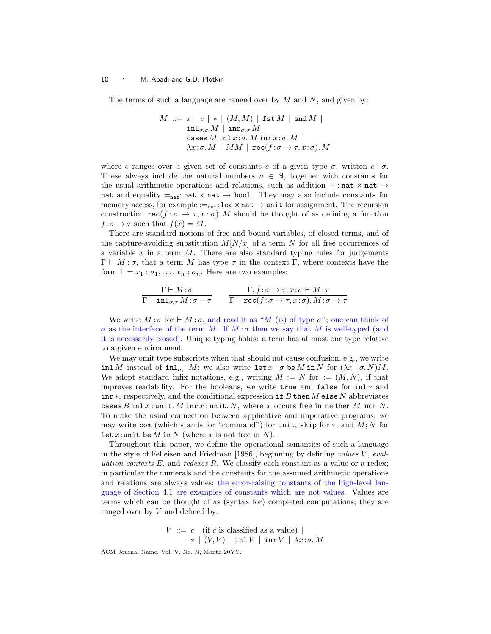The terms of such a language are ranged over by  $M$  and  $N$ , and given by:

$$
M\ ::= \ x\ \mid\ c\mid\ast\mid (M,M)\mid\mathtt{fst}\,M\mid\mathtt{snd}\,M\mid\\\verb|inl_{\sigma,\sigma}\,M\mid\mathtt{inr}_{\sigma,\sigma}\,M\mid\\\verb|cases\,M\,in\,2^\cdot\sigma.\,M\,\mathtt{inr}\,x:\sigma.\,M\mid\\\lambda x:\sigma.\,M\mid MM\mid\mathtt{rec}(f:\sigma\rightarrow\tau,x:\sigma).\,M
$$

where c ranges over a given set of constants c of a given type  $\sigma$ , written  $c : \sigma$ . These always include the natural numbers  $n \in \mathbb{N}$ , together with constants for the usual arithmetic operations and relations, such as addition  $+ : \text{nat} \times \text{nat} \rightarrow$ nat and equality  $=_{nat}: nat \times nat \rightarrow bool$ . They may also include constants for memory access, for example  $:=_{nat}:$ loc  $\times$  nat  $\rightarrow$  unit for assignment. The recursion construction  $\text{rec}(f : \sigma \to \tau, x : \sigma)$ . M should be thought of as defining a function  $f: \sigma \to \tau$  such that  $f(x) = M$ .

There are standard notions of free and bound variables, of closed terms, and of the capture-avoiding substitution  $M[N/x]$  of a term N for all free occurrences of a variable  $x$  in a term  $M$ . There are also standard typing rules for judgements  $\Gamma \vdash M : \sigma$ , that a term M has type  $\sigma$  in the context  $\Gamma$ , where contexts have the form  $\Gamma = x_1 : \sigma_1, \ldots, x_n : \sigma_n$ . Here are two examples:

$$
\frac{\Gamma \vdash M : \sigma}{\Gamma \vdash \text{inl}_{\sigma,\tau} M : \sigma + \tau} \qquad \frac{\Gamma, f : \sigma \to \tau, x : \sigma \vdash M : \tau}{\Gamma \vdash \text{rec}(f : \sigma \to \tau, x : \sigma). M : \sigma \to \tau}
$$

We write  $M : \sigma$  for  $\vdash M : \sigma$ , and read it as "M (is) of type  $\sigma$ "; one can think of  $\sigma$  as the interface of the term M. If  $M : \sigma$  then we say that M is well-typed (and it is necessarily closed). Unique typing holds: a term has at most one type relative to a given environment.

We may omit type subscripts when that should not cause confusion, e.g., we write inl M instead of  $\operatorname{inl}_{\sigma,\tau} M$ ; we also write let  $x : \sigma$  be M in N for  $(\lambda x : \sigma N)M$ . We adopt standard infix notations, e.g., writing  $M := N$  for  $:= (M, N)$ , if that improves readability. For the booleans, we write true and false for inl ∗ and  $\text{inr} *$ , respectively, and the conditional expression if B then M else N abbreviates cases B inl x : unit. M inr x : unit. N, where x occurs free in neither M nor N. To make the usual connection between applicative and imperative programs, we may write com (which stands for "command") for unit, skip for  $\ast$ , and  $M; N$  for let x:unit be  $M$  in  $N$  (where x is not free in  $N$ ).

Throughout this paper, we define the operational semantics of such a language in the style of Felleisen and Friedman [1986], beginning by defining values  $V$ , evaluation contexts  $E$ , and redexes  $R$ . We classify each constant as a value or a redex; in particular the numerals and the constants for the assumed arithmetic operations and relations are always values; the error-raising constants of the high-level language of Section 4.1 are examples of constants which are not values. Values are terms which can be thought of as (syntax for) completed computations; they are ranged over by  $V$  and defined by:

$$
V ::= c \text{ (if } c \text{ is classified as a value)} |
$$
  
 
$$
* | (V, V) | \text{ inl } V | \text{ inr } V | \lambda x : \sigma. M
$$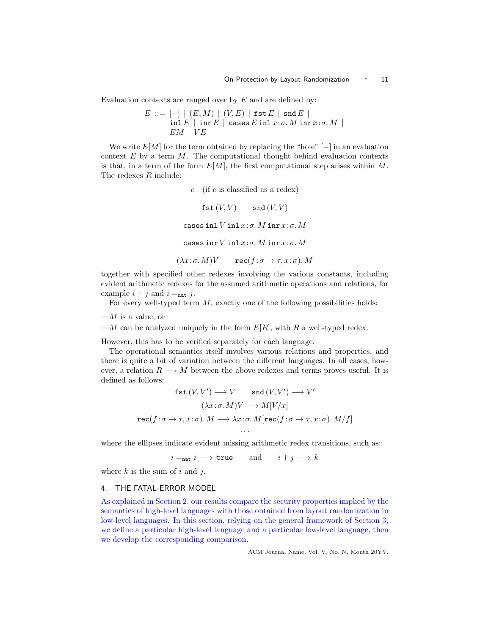Evaluation contexts are ranged over by  $E$  and are defined by:

$$
E ::= [-] | (E, M) | (V, E) | \text{fst } E | \text{snd } E |
$$
  
 
$$
\text{inl } E | \text{inr } E | \text{cases } E \text{inl } x : \sigma. M \text{ inr } x : \sigma. M |
$$
  
 
$$
EM | VE
$$

We write  $E[M]$  for the term obtained by replacing the "hole"  $[-]$  in an evaluation context  $E$  by a term  $M$ . The computational thought behind evaluation contexts is that, in a term of the form  $E[M]$ , the first computational step arises within M. The redexes  $R$  include:

> $c$  (if c is classified as a redex)  $fst(V, V)$  snd  $(V, V)$ cases inl  $V$  inl  $x:\sigma$ .  $M$  inr  $x:\sigma$ .  $M$ cases inr  $V$  inl  $x:\sigma$ .  $M$  inr  $x:\sigma$ .  $M$  $(\lambda x:\sigma. M)V$  rec $(f:\sigma \to \tau, x:\sigma)$ . M

together with specified other redexes involving the various constants, including evident arithmetic redexes for the assumed arithmetic operations and relations, for example  $i + j$  and  $i =_{nat} j$ .

For every well-typed term  $M$ , exactly one of the following possibilities holds:

 $-M$  is a value, or

 $-M$  can be analyzed uniquely in the form  $E[R]$ , with R a well-typed redex.

However, this has to be verified separately for each language.

The operational semantics itself involves various relations and properties, and there is quite a bit of variation between the different languages. In all cases, however, a relation  $R \longrightarrow M$  between the above redexes and terms proves useful. It is defined as follows:

$$
\text{fst}(V, V') \longrightarrow V \qquad \text{snd}(V, V') \longrightarrow V'
$$

$$
(\lambda x : \sigma. M)V \longrightarrow M[V/x]
$$

$$
\text{rec}(f : \sigma \to \tau, x : \sigma). M \longrightarrow \lambda x : \sigma. M[\text{rec}(f : \sigma \to \tau, x : \sigma). M/f]
$$
...

where the ellipses indicate evident missing arithmetic redex transitions, such as:

$$
i =_{\text{nat}} i \longrightarrow \text{true} \quad \text{and} \quad i + j \longrightarrow k
$$

where  $k$  is the sum of  $i$  and  $j$ .

# 4. THE FATAL-ERROR MODEL

As explained in Section 2, our results compare the security properties implied by the semantics of high-level languages with those obtained from layout randomization in low-level languages. In this section, relying on the general framework of Section 3, we define a particular high-level language and a particular low-level language, then we develop the corresponding comparison.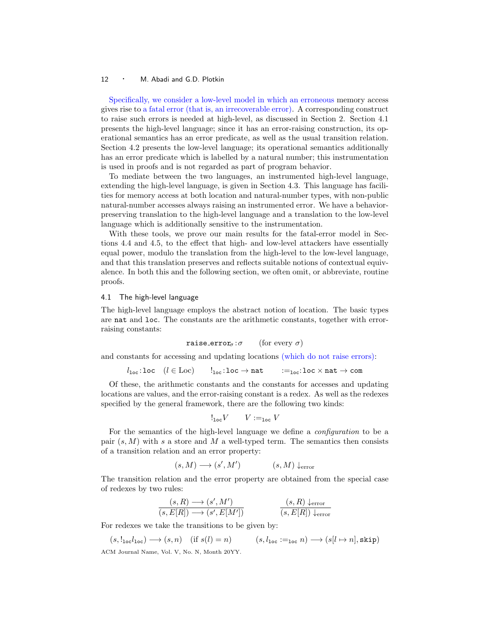Specifically, we consider a low-level model in which an erroneous memory access gives rise to a fatal error (that is, an irrecoverable error). A corresponding construct to raise such errors is needed at high-level, as discussed in Section 2. Section 4.1 presents the high-level language; since it has an error-raising construction, its operational semantics has an error predicate, as well as the usual transition relation. Section 4.2 presents the low-level language; its operational semantics additionally has an error predicate which is labelled by a natural number; this instrumentation is used in proofs and is not regarded as part of program behavior.

To mediate between the two languages, an instrumented high-level language, extending the high-level language, is given in Section 4.3. This language has facilities for memory access at both location and natural-number types, with non-public natural-number accesses always raising an instrumented error. We have a behaviorpreserving translation to the high-level language and a translation to the low-level language which is additionally sensitive to the instrumentation.

With these tools, we prove our main results for the fatal-error model in Sections 4.4 and 4.5, to the effect that high- and low-level attackers have essentially equal power, modulo the translation from the high-level to the low-level language, and that this translation preserves and reflects suitable notions of contextual equivalence. In both this and the following section, we often omit, or abbreviate, routine proofs.

# 4.1 The high-level language

The high-level language employs the abstract notion of location. The basic types are nat and loc. The constants are the arithmetic constants, together with errorraising constants:

$$
\mathtt{raise\_error}_{\sigma} : \sigma \qquad \text{(for every } \sigma\text{)}
$$

and constants for accessing and updating locations (which do not raise errors):

$$
l_{\text{loc}}:\text{loc} \quad (l \in \text{Loc})
$$
  $l_{\text{loc}}:\text{loc} \to \text{nat}$   $:=_{\text{loc}}:\text{loc} \times \text{nat} \to \text{com}$ 

Of these, the arithmetic constants and the constants for accesses and updating locations are values, and the error-raising constant is a redex. As well as the redexes specified by the general framework, there are the following two kinds:

$$
!_{\text{loc}}V \qquad V:=_{\text{loc}} V
$$

For the semantics of the high-level language we define a configuration to be a pair  $(s, M)$  with s a store and M a well-typed term. The semantics then consists of a transition relation and an error property:

$$
(s, M) \longrightarrow (s', M') \qquad (s, M) \downarrow_{\text{error}}
$$

The transition relation and the error property are obtained from the special case of redexes by two rules:

$$
\frac{(s,R)\longrightarrow (s',M')}{(s,E[R])\longrightarrow (s',E[M'])}
$$
\n
$$
\frac{(s,R)\downarrow_{\text{error}}}{(s,E[R])\downarrow_{\text{error}}}
$$

For redexes we take the transitions to be given by:

$$
(s, l_{\text{loc}}l_{\text{loc}}) \longrightarrow (s, n) \quad (\text{if } s(l) = n) \qquad (s, l_{\text{loc}} :=_{\text{loc}} n) \longrightarrow (s[l \mapsto n], \text{skip})
$$
  
ACM Journal Name, Vol. V, No. N, Month 20YY.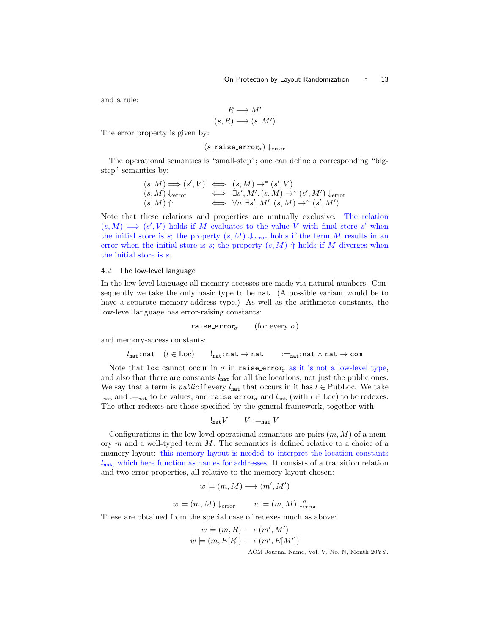and a rule:

$$
\frac{R \longrightarrow M'}{(s,R) \longrightarrow (s,M')}
$$

The error property is given by:

 $(s, \mathtt{raise\_error}_{\sigma}) \downarrow_{\mathrm{error}}$ 

The operational semantics is "small-step"; one can define a corresponding "bigstep" semantics by:

$$
(s, M) \Longrightarrow (s', V) \iff (s, M) \rightarrow^* (s', V)
$$
  
\n
$$
(s, M) \Downarrow_{\text{error}} \iff \exists s', M'. (s, M) \rightarrow^* (s', M') \downarrow_{\text{error}}
$$
  
\n
$$
(s, M) \uparrow \iff \forall n. \exists s', M'. (s, M) \rightarrow^* (s', M')
$$

Note that these relations and properties are mutually exclusive. The relation  $(s, M) \implies (s', V)$  holds if M evaluates to the value V with final store s' when the initial store is s; the property  $(s, M)$   $\downarrow$ <sub>error</sub> holds if the term M results in an error when the initial store is s; the property  $(s, M)$   $\Uparrow$  holds if M diverges when the initial store is s.

# 4.2 The low-level language

In the low-level language all memory accesses are made via natural numbers. Consequently we take the only basic type to be nat. (A possible variant would be to have a separate memory-address type.) As well as the arithmetic constants, the low-level language has error-raising constants:

$$
\mathtt{raise\_error}_{\sigma} \qquad \text{(for every } \sigma\text{)}
$$

and memory-access constants:

$$
l_{\text{nat}}:\text{nat} \quad (l \in \text{Loc}) \qquad l_{\text{nat}}:\text{nat} \rightarrow \text{nat} \qquad :=_{\text{nat}}:\text{nat} \times \text{nat} \rightarrow \text{com}
$$

Note that loc cannot occur in  $\sigma$  in raise error<sub> $\sigma$ </sub> as it is not a low-level type, and also that there are constants  $l_{\text{nat}}$  for all the locations, not just the public ones. We say that a term is *public* if every  $l_{\text{nat}}$  that occurs in it has  $l \in \text{PubLoc.}$  We take  $l_{\text{nat}}$  and :=<sub>nat</sub> to be values, and **raise\_error**<sub>σ</sub> and  $l_{\text{nat}}$  (with  $l \in \text{Loc}$ ) to be redexes. The other redexes are those specified by the general framework, together with:

$$
!_{\rm nat}V \qquad V:={}_{\rm nat}V
$$

Configurations in the low-level operational semantics are pairs  $(m, M)$  of a memory  $m$  and a well-typed term  $M$ . The semantics is defined relative to a choice of a memory layout: this memory layout is needed to interpret the location constants  $l_{\text{nat}}$ , which here function as names for addresses. It consists of a transition relation and two error properties, all relative to the memory layout chosen:

$$
w \models (m, M) \longrightarrow (m', M')
$$

$$
w \models (m, M) \downarrow^{\alpha}_{\text{error}} \qquad w \models (m, M) \downarrow^{\alpha}_{\text{error}}
$$

These are obtained from the special case of redexes much as above:

$$
w \models (m, R) \rightarrow (m', M')
$$
  

$$
w \models (m, E[R]) \rightarrow (m', E[M'])
$$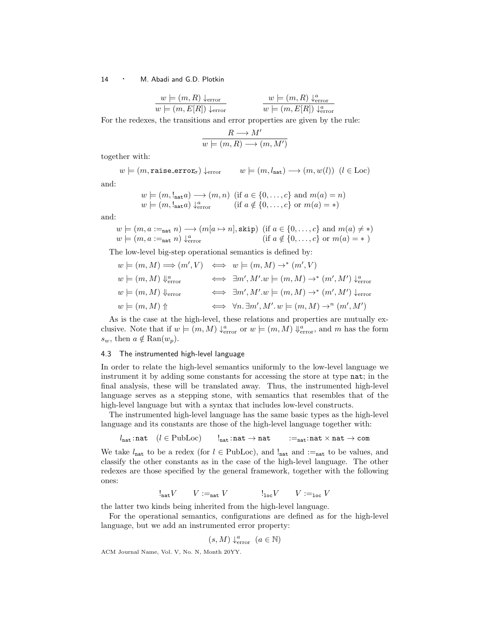$$
\begin{array}{ll} w \models (m,R) \downarrow_{\text{error}} \\ \hline w \models (m,E[R]) \downarrow_{\text{error}} \end{array} \qquad \qquad \begin{array}{ll} w \models (m,R) \downarrow_{\text{error}}^a \\ w \models (m,E[R]) \downarrow_{\text{error}}^a \end{array}
$$

For the redexes, the transitions and error properties are given by the rule:

$$
R \longrightarrow M'
$$
  

$$
w \models (m, R) \longrightarrow (m, M')
$$

together with:

$$
w \models (m, \mathtt{raise\_error}_{\sigma}) \downarrow_{\text{error}} \qquad w \models (m, l_{\mathtt{nat}}) \longrightarrow (m, w(l)) \ (l \in \text{Loc})
$$

and:

$$
w \models (m, !_{\text{nat}}a) \rightarrow (m, n) \text{ (if } a \in \{0, ..., c\} \text{ and } m(a) = n)
$$
  

$$
w \models (m, !_{\text{nat}}a) \downarrow_{\text{error}}^a \text{ (if } a \notin \{0, ..., c\} \text{ or } m(a) = *)
$$

and:

$$
w \models (m, a :=_{\text{nat}} n) \rightarrow (m[a \mapsto n], \text{skip}) \text{ (if } a \in \{0, \dots, c\} \text{ and } m(a) \neq *)
$$
  

$$
w \models (m, a :=_{\text{nat}} n) \downarrow_{\text{error}}^a \text{ (if } a \notin \{0, \dots, c\} \text{ or } m(a) = *)
$$

The low-level big-step operational semantics is defined by:

$$
w \models (m, M) \Longrightarrow (m', V) \iff w \models (m, M) \rightarrow^* (m', V)
$$
  
\n
$$
w \models (m, M) \Downarrow_{\text{error}}^a \iff \exists m', M'.w \models (m, M) \rightarrow^* (m', M') \downarrow_{\text{error}}^a
$$
  
\n
$$
w \models (m, M) \Downarrow_{\text{error}} \iff \exists m', M'.w \models (m, M) \rightarrow^* (m', M') \downarrow_{\text{error}}^a
$$
  
\n
$$
w \models (m, M) \Uparrow \iff \forall n. \exists m', M'.w \models (m, M) \rightarrow^n (m', M')
$$

As is the case at the high-level, these relations and properties are mutually exclusive. Note that if  $w \models (m, M) \downarrow_{\text{error}}^a$  or  $w \models (m, M) \downarrow_{\text{error}}^a$ , and m has the form  $s_w$ , then  $a \notin \text{Ran}(w_p)$ .

# 4.3 The instrumented high-level language

In order to relate the high-level semantics uniformly to the low-level language we instrument it by adding some constants for accessing the store at type nat; in the final analysis, these will be translated away. Thus, the instrumented high-level language serves as a stepping stone, with semantics that resembles that of the high-level language but with a syntax that includes low-level constructs.

The instrumented high-level language has the same basic types as the high-level language and its constants are those of the high-level language together with:

 $l_{\text{nat}}:\text{nat} \quad (l \in \text{Public})$   $l_{\text{nat}}:\text{nat} \rightarrow \text{nat}$   $:=_{\text{nat}}:\text{nat} \times \text{nat} \rightarrow \text{com}$ 

We take  $l_{\text{nat}}$  to be a redex (for  $l \in \text{PubLoc}$ ), and  $l_{\text{nat}}$  and  $:=_{\text{nat}}$  to be values, and classify the other constants as in the case of the high-level language. The other redexes are those specified by the general framework, together with the following ones:

$$
!_{\rm nat}V \qquad V:={_{\rm nat}}\; V \qquad \qquad !_{\rm loc}V \qquad \ \ V:={_{\rm loc}}\; V
$$

the latter two kinds being inherited from the high-level language.

For the operational semantics, configurations are defined as for the high-level language, but we add an instrumented error property:

$$
(s, M) \downarrow^a_{\text{error}} (a \in \mathbb{N})
$$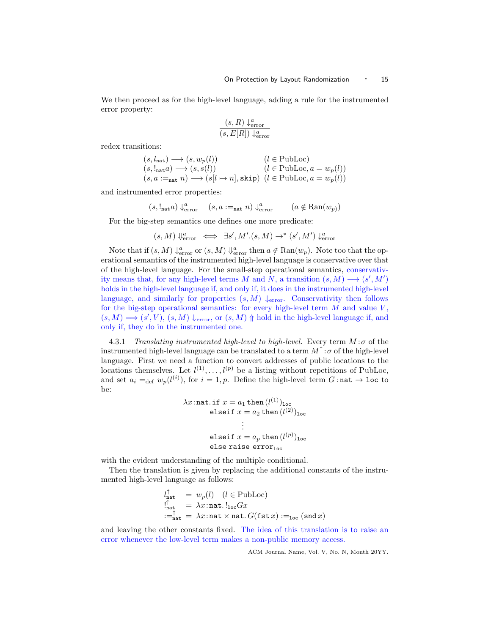We then proceed as for the high-level language, adding a rule for the instrumented error property:

$$
\frac{(s,R)\downarrow^a_{\rm error}}{(s,E[R])\downarrow^a_{\rm error}}
$$

redex transitions:

$$
\begin{array}{ll} (s, l_{\mathtt{nat}})\longrightarrow (s, w_p(l)) & (l\in \mathrm{PubLoc})\\ (s, \mathrm{l_{nat}} a)\longrightarrow (s, s(l)) & (l\in \mathrm{PubLoc}, a=w_p(l))\\ (s, a:=_{\mathtt{nat}} n)\longrightarrow (s[l\mapsto n], \mathtt{skip})\ (l\in \mathrm{PubLoc}, a=w_p(l)) \end{array}
$$

and instrumented error properties:

$$
(s, \mathsf{l}_{\mathtt{nat}} a) \downarrow^a_{\mathtt{error}} \quad (s, a :=_{\mathtt{nat}} n) \downarrow^a_{\mathtt{error}} \qquad (a \notin \mathtt{Ran}(w_p))
$$

For the big-step semantics one defines one more predicate:

$$
(s, M) \Downarrow_{\text{error}}^a \iff \exists s', M'.(s, M) \to^* (s', M') \Downarrow_{\text{error}}^a
$$

Note that if  $(s, M) \downarrow_{\text{error}}^a$  or  $(s, M) \downarrow_{\text{error}}^a$  then  $a \notin \text{Ran}(w_p)$ . Note too that the operational semantics of the instrumented high-level language is conservative over that of the high-level language. For the small-step operational semantics, conservativity means that, for any high-level terms M and N, a transition  $(s, M) \longrightarrow (s', M')$ holds in the high-level language if, and only if, it does in the instrumented high-level language, and similarly for properties  $(s, M)$   $\downarrow$ <sub>error</sub>. Conservativity then follows for the big-step operational semantics: for every high-level term  $M$  and value  $V$ ,  $(s, M) \Longrightarrow (s', V), (s, M) \Downarrow_{\text{error}}$ , or  $(s, M) \uparrow$  hold in the high-level language if, and only if, they do in the instrumented one.

4.3.1 Translating instrumented high-level to high-level. Every term  $M : \sigma$  of the instrumented high-level language can be translated to a term  $M^{\uparrow}$ :  $\sigma$  of the high-level language. First we need a function to convert addresses of public locations to the locations themselves. Let  $l^{(1)}, \ldots, l^{(p)}$  be a listing without repetitions of PubLoc, and set  $a_i =_{\text{def}} w_p(l^{(i)})$ , for  $i = 1, p$ . Define the high-level term  $G : \text{nat} \to \text{loc}$  to be:

$$
\lambda x:\texttt{nat}.\texttt{if } x = a_1 \texttt{ then } (l^{(1)})_{\texttt{loc}} \\
 \texttt{elseif } x = a_2 \texttt{ then } (l^{(2)})_{\texttt{loc}} \\
 \vdots \\
 \texttt{elseif } x = a_p \texttt{then } (l^{(p)})_{\texttt{loc}} \\
 \texttt{else raise_error}_{\texttt{loc}}
$$

with the evident understanding of the multiple conditional.

Then the translation is given by replacing the additional constants of the instrumented high-level language as follows:

$$
l_{\text{nat}}^{\dagger} = w_p(l) \quad (l \in \text{Public})
$$
  
\n
$$
l_{\text{nat}}^{\dagger} = \lambda x : \text{nat}. l_{\text{loc}} Gx
$$
  
\n
$$
:= \uparrow_{\text{nat}}^{\dagger} = \lambda x : \text{nat} \times \text{nat}. G(\text{fst } x) :=_{\text{loc}} (\text{snd } x)
$$

and leaving the other constants fixed. The idea of this translation is to raise an error whenever the low-level term makes a non-public memory access.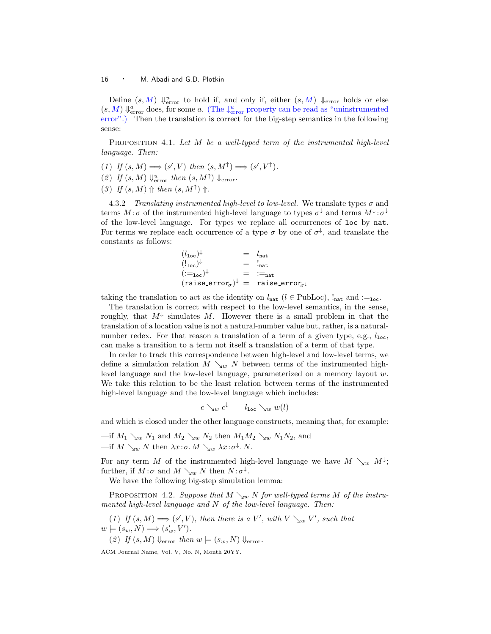Define  $(s, M) \Downarrow_{\text{error}}^u$  to hold if, and only if, either  $(s, M) \Downarrow_{\text{error}}$  holds or else  $(s, M) \Downarrow_{\text{error}}^a$  does, for some a. (The  $\downarrow_{\text{error}}^u$  property can be read as "uninstrumented error".) Then the translation is correct for the big-step semantics in the following sense:

Proposition 4.1. Let M be a well-typed term of the instrumented high-level language. Then:

- (1) If  $(s, M) \Longrightarrow (s', V)$  then  $(s, M^{\uparrow}) \Longrightarrow (s', V^{\uparrow}).$
- (2) If  $(s, M) \Downarrow_{\text{error}}^u$  then  $(s, M^{\uparrow}) \Downarrow_{\text{error}}$ .
- (3) If  $(s, M) \Uparrow$  then  $(s, M^{\uparrow}) \Uparrow$ .

4.3.2 Translating instrumented high-level to low-level. We translate types  $\sigma$  and terms  $M : \sigma$  of the instrumented high-level language to types  $\sigma^{\downarrow}$  and terms  $M^{\downarrow} : \sigma^{\downarrow}$ of the low-level language. For types we replace all occurrences of loc by nat. For terms we replace each occurrence of a type  $\sigma$  by one of  $\sigma^{\downarrow}$ , and translate the constants as follows:

$$
(l_{\text{loc}})^{\downarrow} = l_{\text{nat}}
$$
  
\n
$$
(!_{\text{loc}})^{\downarrow} = !_{\text{nat}}
$$
  
\n
$$
(:=_{\text{loc}})^{\downarrow} = ::=_{\text{nat}}
$$
  
\n
$$
(\text{raise\_error}_{\sigma})^{\downarrow} = \text{raise\_error}_{\sigma^{\downarrow}}
$$

taking the translation to act as the identity on  $l_{\text{nat}}$  ( $l \in \text{PubLoc}$ ),  $l_{\text{nat}}$  and  $:=_{\text{loc}}$ .

The translation is correct with respect to the low-level semantics, in the sense, roughly, that  $M^{\downarrow}$  simulates M. However there is a small problem in that the translation of a location value is not a natural-number value but, rather, is a naturalnumber redex. For that reason a translation of a term of a given type, e.g.,  $l_{loc}$ , can make a transition to a term not itself a translation of a term of that type.

In order to track this correspondence between high-level and low-level terms, we define a simulation relation  $M \searrow_w N$  between terms of the instrumented highlevel language and the low-level language, parameterized on a memory layout w. We take this relation to be the least relation between terms of the instrumented high-level language and the low-level language which includes:

$$
c \searrow_w c^+ \qquad l_{\text{loc}} \searrow_w w(l)
$$

and which is closed under the other language constructs, meaning that, for example:

$$
-if M_1 \searrow_w N_1 \text{ and } M_2 \searrow_w N_2 \text{ then } M_1M_2 \searrow_w N_1N_2 \text{, and}
$$
  

$$
-if M \searrow_w N \text{ then } \lambda x : \sigma. M \searrow_w \lambda x : \sigma^{\downarrow}. N.
$$

For any term M of the instrumented high-level language we have  $M \searrow_w M^{\downarrow}$ ; further, if  $M : \sigma$  and  $M \searrow_w N$  then  $N : \sigma^{\downarrow}$ .

We have the following big-step simulation lemma:

PROPOSITION 4.2. Suppose that  $M \searrow_w N$  for well-typed terms M of the instrumented high-level language and  $N$  of the low-level language. Then:

(1) If  $(s, M) \Longrightarrow (s', V)$ , then there is a V', with  $V \searrow_w V'$ , such that  $w \models (s_w, N) \Longrightarrow (s'_w, V').$ 

(2) If  $(s, M)$   $\downarrow$ <sub>error</sub> then  $w \models (s_w, N)$   $\downarrow$ <sub>error</sub>.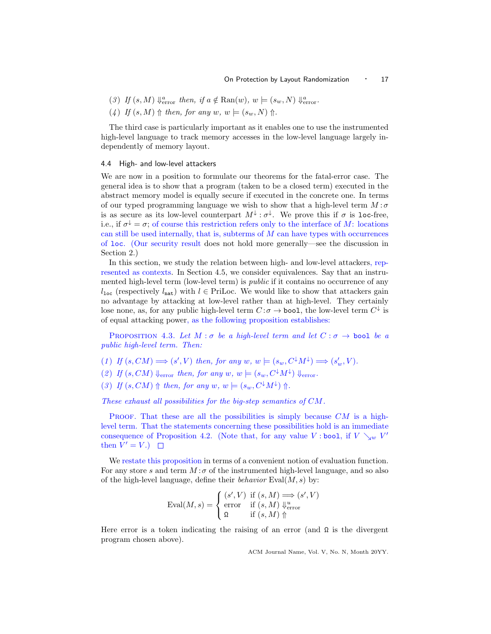- (3) If  $(s, M) \Downarrow_{\text{error}}^a$  then, if  $a \notin \text{Ran}(w)$ ,  $w \models (s_w, N) \Downarrow_{\text{error}}^a$ .
- (4) If  $(s, M) \Uparrow$  then, for any  $w, w \models (s_w, N) \Uparrow$ .

The third case is particularly important as it enables one to use the instrumented high-level language to track memory accesses in the low-level language largely independently of memory layout.

# 4.4 High- and low-level attackers

We are now in a position to formulate our theorems for the fatal-error case. The general idea is to show that a program (taken to be a closed term) executed in the abstract memory model is equally secure if executed in the concrete one. In terms of our typed programming language we wish to show that a high-level term  $M$ : is as secure as its low-level counterpart  $M^{\downarrow}$ :  $\sigma^{\downarrow}$ . We prove this if  $\sigma$  is loc-free, i.e., if  $\sigma^{\downarrow} = \sigma$ ; of course this restriction refers only to the interface of M: locations can still be used internally, that is, subterms of  $M$  can have types with occurrences of loc. (Our security result does not hold more generally—see the discussion in Section 2.)

In this section, we study the relation between high- and low-level attackers, represented as contexts. In Section 4.5, we consider equivalences. Say that an instrumented high-level term (low-level term) is *public* if it contains no occurrence of any  $l_{\text{loc}}$  (respectively  $l_{\text{nat}}$ ) with  $l \in \text{PriLoc}$ . We would like to show that attackers gain no advantage by attacking at low-level rather than at high-level. They certainly lose none, as, for any public high-level term  $C : \sigma \to \text{bool}$ , the low-level term  $C^{\downarrow}$  is of equal attacking power, as the following proposition establishes:

PROPOSITION 4.3. Let  $M : \sigma$  be a high-level term and let  $C : \sigma \rightarrow \text{bool}$  be a public high-level term. Then:

- (1) If  $(s, CM) \Longrightarrow (s', V)$  then, for any  $w, w \models (s_w, C \nmid M^{\downarrow}) \Longrightarrow (s'_w, V)$ .
- (2) If  $(s, CM) \Downarrow_{\text{error}}$  then, for any  $w, w \models (s_w, C \nmid M^{\downarrow}) \Downarrow_{\text{error}}$ .
- (3) If  $(s, CM) \Uparrow$  then, for any  $w, w \models (s_w, C \downarrow M \downarrow) \Uparrow$ .

These exhaust all possibilities for the big-step semantics of CM.

PROOF. That these are all the possibilities is simply because  $CM$  is a highlevel term. That the statements concerning these possibilities hold is an immediate consequence of Proposition 4.2. (Note that, for any value V : bool, if  $V \searrow w V'$ then  $V' = V$ .)  $\Box$ 

We restate this proposition in terms of a convenient notion of evaluation function. For any store s and term  $M : \sigma$  of the instrumented high-level language, and so also of the high-level language, define their *behavior*  $Eval(M, s)$  by:

$$
Eval(M, s) = \begin{cases} (s', V) & \text{if } (s, M) \Longrightarrow (s', V) \\ \text{error} & \text{if } (s, M) \Downarrow_{\text{error}}^u \\ \Omega & \text{if } (s, M) \uparrow \end{cases}
$$

Here error is a token indicating the raising of an error (and  $\Omega$  is the divergent program chosen above).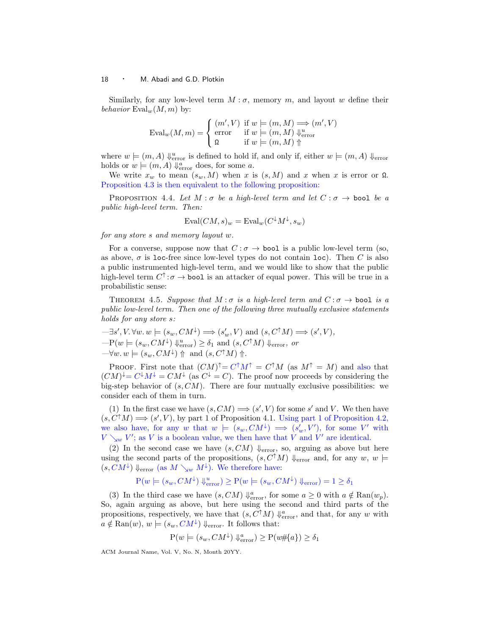Similarly, for any low-level term  $M : \sigma$ , memory m, and layout w define their behavior  $\text{Eval}_w(M,m)$  by:

$$
\text{Eval}_{w}(M, m) = \begin{cases} (m', V) & \text{if } w \models (m, M) \Longrightarrow (m', V) \\ \text{error} & \text{if } w \models (m, M) \Downarrow_{\text{error}}^u \\ \Omega & \text{if } w \models (m, M) \Uparrow \end{cases}
$$

where  $w \models (m, A) \Downarrow_{\text{error}}^u$  is defined to hold if, and only if, either  $w \models (m, A) \Downarrow_{\text{error}}^u$ holds or  $w \models (m, A) \Downarrow_{\text{error}}^a$  does, for some a.

We write  $x_w$  to mean  $(s_w, M)$  when x is  $(s, M)$  and x when x is error or  $\Omega$ . Proposition 4.3 is then equivalent to the following proposition:

PROPOSITION 4.4. Let  $M : \sigma$  be a high-level term and let  $C : \sigma \to \text{bool}$  be a public high-level term. Then:

$$
\mathrm{Eval}(CM, s)_w = \mathrm{Eval}_w(C^{\downarrow}M^{\downarrow}, s_w)
$$

for any store s and memory layout w.

For a converse, suppose now that  $C : \sigma \to \text{bool}$  is a public low-level term (so, as above,  $\sigma$  is loc-free since low-level types do not contain loc). Then C is also a public instrumented high-level term, and we would like to show that the public high-level term  $C^{\uparrow}$ : $\sigma \rightarrow$  bool is an attacker of equal power. This will be true in a probabilistic sense:

THEOREM 4.5. Suppose that  $M : \sigma$  is a high-level term and  $C : \sigma \to \text{bool}$  is a public low-level term. Then one of the following three mutually exclusive statements holds for any store s:

$$
\begin{aligned}\n& -\exists s', V. \forall w. w \models (s_w, CM^{\downarrow}) \Longrightarrow (s'_w, V) \text{ and } (s, C^{\uparrow}M) \Longrightarrow (s', V), \\
& -P(w \models (s_w, CM^{\downarrow}) \Downarrow_{\text{error}}^u) \geq \delta_1 \text{ and } (s, C^{\uparrow}M) \Downarrow_{\text{error}}, \text{ or} \\
& -\forall w. w \models (s_w, CM^{\downarrow}) \uparrow \text{ and } (s, C^{\uparrow}M) \uparrow.\n\end{aligned}
$$

PROOF. First note that  $(CM)^{\uparrow} = C^{\uparrow}M^{\uparrow} = C^{\uparrow}M$  (as  $M^{\uparrow} = M$ ) and also that  $(CM)^{\downarrow} = C^{\downarrow} M^{\downarrow} = CM^{\downarrow}$  (as  $C^{\downarrow} = C$ ). The proof now proceeds by considering the big-step behavior of  $(s, CM)$ . There are four mutually exclusive possibilities: we consider each of them in turn.

(1) In the first case we have  $(s, CM) \Longrightarrow (s', V)$  for some s' and V. We then have  $(s, C^{\uparrow}M) \Longrightarrow (s', V)$ , by part 1 of Proposition 4.1. Using part 1 of Proposition 4.2, we also have, for any w that  $w \models (s_w, CM^{\downarrow}) \implies (s'_w, V')$ , for some V' with  $V \searrow_{w} V'$ ; as V is a boolean value, we then have that V and V' are identical.

(2) In the second case we have  $(s, CM)$   $\Downarrow_{\text{error}}$ , so, arguing as above but here using the second parts of the propositions,  $(s, C^{\uparrow}M) \Downarrow_{\text{error}}$  and, for any  $w, w \models$  $(s, CM^{\downarrow}) \Downarrow_{\text{error}} (as M \searrow w M^{\downarrow}).$  We therefore have:

 $P(w \models (s_w, CM^{\downarrow}) \Downarrow_{\text{error}}^u) \ge P(w \models (s_w, CM^{\downarrow}) \Downarrow_{\text{error}}^u) = 1 \ge \delta_1$ 

(3) In the third case we have  $(s, CM) \Downarrow_{\text{error}}^a$ , for some  $a \geq 0$  with  $a \notin \text{Ran}(w_p)$ . So, again arguing as above, but here using the second and third parts of the propositions, respectively, we have that  $(s, C^{\dagger}M) \Downarrow_{\text{error}}^a$ , and that, for any w with  $a \notin \text{Ran}(w), w \models (s_w, CM^{\downarrow}) \Downarrow_{\text{error}}$ . It follows that:

$$
P(w \models (s_w, CM^{\downarrow}) \Downarrow_{\text{error}}^a) \ge P(w \# \{a\}) \ge \delta_1
$$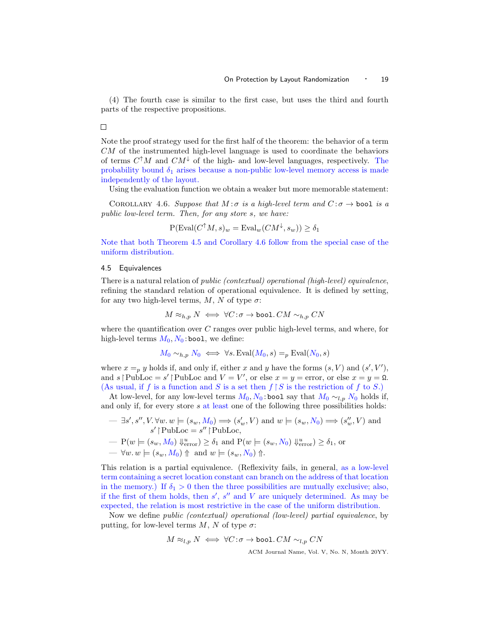(4) The fourth case is similar to the first case, but uses the third and fourth parts of the respective propositions.

 $\Box$ 

Note the proof strategy used for the first half of the theorem: the behavior of a term CM of the instrumented high-level language is used to coordinate the behaviors of terms  $C^{\uparrow}M$  and  $CM^{\downarrow}$  of the high- and low-level languages, respectively. The probability bound  $\delta_1$  arises because a non-public low-level memory access is made independently of the layout.

Using the evaluation function we obtain a weaker but more memorable statement:

COROLLARY 4.6. Suppose that  $M : \sigma$  is a high-level term and  $C : \sigma \to \text{bool}$  is a public low-level term. Then, for any store s, we have:

$$
P(\text{Eval}(C^{\uparrow}M, s)_w = \text{Eval}_w(CM^{\downarrow}, s_w)) \ge \delta_1
$$

Note that both Theorem 4.5 and Corollary 4.6 follow from the special case of the uniform distribution.

# 4.5 Equivalences

There is a natural relation of *public (contextual) operational (high-level) equivalence*, refining the standard relation of operational equivalence. It is defined by setting, for any two high-level terms,  $M$ ,  $N$  of type  $\sigma$ :

$$
M \approx_{h,p} N \iff \forall C \colon \! \sigma \to \texttt{bool}.\mathit{CM} \sim_{h,p} CN
$$

where the quantification over  $C$  ranges over public high-level terms, and where, for high-level terms  $M_0, N_0$ : bool, we define:

$$
M_0 \sim_{h,p} N_0 \iff \forall s. \text{Eval}(M_0, s) =_p \text{Eval}(N_0, s)
$$

where  $x = p$  y holds if, and only if, either x and y have the forms  $(s, V)$  and  $(s', V')$ , and  $s \upharpoonright \text{PubLoc} = s' \upharpoonright \text{PubLoc}$  and  $V = V'$ , or else  $x = y = \text{error}$ , or else  $x = y = \Omega$ . (As usual, if f is a function and S is a set then  $f \upharpoonright S$  is the restriction of f to S.)

At low-level, for any low-level terms  $M_0$ ,  $N_0$ :bool say that  $M_0 \sim_{l,p} N_0$  holds if, and only if, for every store  $s$  at least one of the following three possibilities holds:

 $- \exists s', s'', V. \forall w. w \models (s_w, M_0) \Longrightarrow (s'_w, V) \text{ and } w \models (s_w, N_0) \Longrightarrow (s''_w, V) \text{ and }$  $s'$  | PubLoc =  $s''$  | PubLoc.  $- P(w \models (s_w, M_0) \Downarrow_{\text{error}}^u) \ge \delta_1 \text{ and } P(w \models (s_w, N_0) \Downarrow_{\text{error}}^u) \ge \delta_1 \text{, or}$  $\psi = \forall w. w \models (s_w, M_0) \uparrow$  and  $w \models (s_w, N_0) \uparrow$ .

This relation is a partial equivalence. (Reflexivity fails, in general, as a low-level term containing a secret location constant can branch on the address of that location in the memory.) If  $\delta_1 > 0$  then the three possibilities are mutually exclusive; also, if the first of them holds, then  $s'$ ,  $s''$  and V are uniquely determined. As may be expected, the relation is most restrictive in the case of the uniform distribution.

Now we define public (contextual) operational (low-level) partial equivalence, by putting, for low-level terms  $M$ , N of type  $\sigma$ :

$$
M \approx_{l,p} N \iff \forall C \colon \sigma \to \text{bool. } CM \sim_{l,p} CN
$$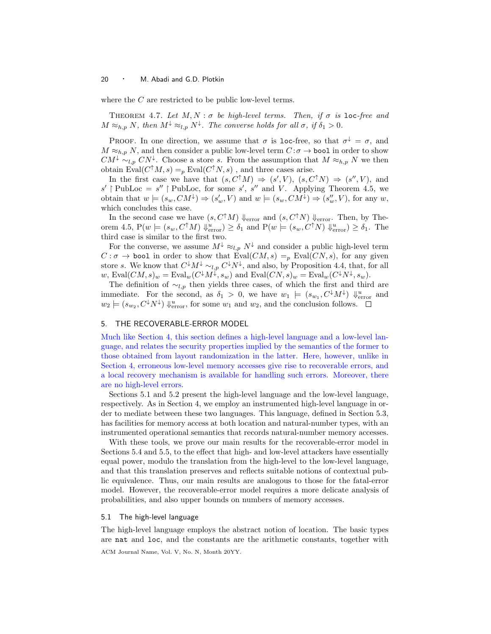where the  $C$  are restricted to be public low-level terms.

THEOREM 4.7. Let  $M, N : \sigma$  be high-level terms. Then, if  $\sigma$  is loc-free and  $M \approx_{h,p} N$ , then  $M^{\downarrow} \approx_{l,p} N^{\downarrow}$ . The converse holds for all  $\sigma$ , if  $\delta_1 > 0$ .

PROOF. In one direction, we assume that  $\sigma$  is loc-free, so that  $\sigma^{\downarrow} = \sigma$ , and  $M \approx_{h,p} N$ , and then consider a public low-level term  $C : \sigma \to \text{bool}$  in order to show  $CM^{\downarrow} \sim_{l,p} CN^{\downarrow}$ . Choose a store s. From the assumption that  $M \approx_{h,p} N$  we then obtain Eval $(C^{\uparrow}M,s) =_{p} \text{Eval}(C^{\uparrow}N,s)$ , and three cases arise.

In the first case we have that  $(s, C^{\uparrow}M) \Rightarrow (s', V), (s, C^{\uparrow}N) \Rightarrow (s'', V)$ , and  $s' \upharpoonright \text{PubLoc} = s'' \upharpoonright \text{PubLoc}, \text{ for some } s', s'' \text{ and } V.$  Applying Theorem 4.5, we obtain that  $w \models (s_w, CM^{\downarrow}) \Rightarrow (s'_w, V)$  and  $w \models (s_w, CM^{\downarrow}) \Rightarrow (s''_w, V)$ , for any  $w$ , which concludes this case.

In the second case we have  $(s, C^{\uparrow}M) \Downarrow_{\text{error}}$  and  $(s, C^{\uparrow}N) \Downarrow_{\text{error}}$ . Then, by Theorem 4.5,  $P(w \models (s_w, C^{\dagger}M) \Downarrow_{\text{error}}^u) \ge \delta_1$  and  $P(w \models (s_w, C^{\dagger}N) \Downarrow_{\text{error}}^u) \ge \delta_1$ . The third case is similar to the first two.

For the converse, we assume  $M^{\downarrow} \approx_{l,p} N^{\downarrow}$  and consider a public high-level term  $C : \sigma \to \text{bool}$  in order to show that Eval $(CM, s) = p$  Eval $(CN, s)$ , for any given store s. We know that  $C^{\downarrow}M^{\downarrow} \sim_{l,p} C^{\downarrow}N^{\downarrow}$ , and also, by Proposition 4.4, that, for all w,  $\text{Eval}(CM, s)_w = \text{Eval}_w(C \nmid M^\downarrow, s_w)$  and  $\text{Eval}(CN, s)_w = \text{Eval}_w(C \nmid N^\downarrow, s_w)$ .

The definition of  $\sim_{l,p}$  then yields three cases, of which the first and third are immediate. For the second, as  $\delta_1 > 0$ , we have  $w_1 \models (s_{w_1}, C \nmid M^{\downarrow}) \Downarrow_{\text{error}}^u$  and  $w_2 \models (s_{w_2}, C^{\downarrow} N^{\downarrow}) \Downarrow_{\text{error}}^u$ , for some  $w_1$  and  $w_2$ , and the conclusion follows.

# 5. THE RECOVERABLE-ERROR MODEL

Much like Section 4, this section defines a high-level language and a low-level language, and relates the security properties implied by the semantics of the former to those obtained from layout randomization in the latter. Here, however, unlike in Section 4, erroneous low-level memory accesses give rise to recoverable errors, and a local recovery mechanism is available for handling such errors. Moreover, there are no high-level errors.

Sections 5.1 and 5.2 present the high-level language and the low-level language, respectively. As in Section 4, we employ an instrumented high-level language in order to mediate between these two languages. This language, defined in Section 5.3, has facilities for memory access at both location and natural-number types, with an instrumented operational semantics that records natural-number memory accesses.

With these tools, we prove our main results for the recoverable-error model in Sections 5.4 and 5.5, to the effect that high- and low-level attackers have essentially equal power, modulo the translation from the high-level to the low-level language, and that this translation preserves and reflects suitable notions of contextual public equivalence. Thus, our main results are analogous to those for the fatal-error model. However, the recoverable-error model requires a more delicate analysis of probabilities, and also upper bounds on numbers of memory accesses.

# 5.1 The high-level language

The high-level language employs the abstract notion of location. The basic types are nat and loc, and the constants are the arithmetic constants, together with ACM Journal Name, Vol. V, No. N, Month 20YY.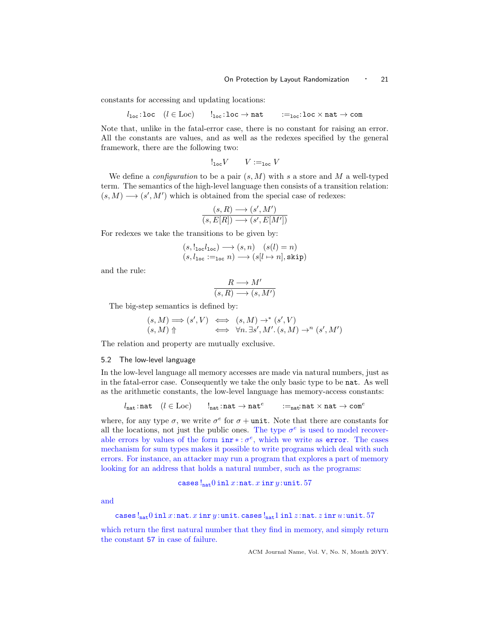#### On Protection by Layout Randomization • 21

constants for accessing and updating locations:

$$
l_{\text{loc}}:\text{loc} \quad (l \in \text{Loc}) \qquad l_{\text{loc}}:\text{loc} \to \text{nat} \qquad :=_{\text{loc}}:\text{loc} \times \text{nat} \to \text{com}
$$

Note that, unlike in the fatal-error case, there is no constant for raising an error. All the constants are values, and as well as the redexes specified by the general framework, there are the following two:

 $!_{\text{loc}}V$   $V :=_{\text{loc}} V$ 

We define a *configuration* to be a pair  $(s, M)$  with s a store and M a well-typed term. The semantics of the high-level language then consists of a transition relation:  $(s, M) \longrightarrow (s', M')$  which is obtained from the special case of redexes:

$$
\frac{(s,R)\longrightarrow (s',M')}{(s,E[R])\longrightarrow (s',E[M'])}
$$

For redexes we take the transitions to be given by:

$$
(s, l_{\text{loc}}l_{\text{loc}}) \longrightarrow (s, n) \quad (s(l) = n)
$$
  

$$
(s, l_{\text{loc}} :=_{\text{loc}} n) \longrightarrow (s[l \mapsto n], \text{skip})
$$

and the rule:

$$
\frac{R \longrightarrow M'}{(s,R) \longrightarrow (s,M')}
$$

The big-step semantics is defined by:

$$
(s, M) \Longrightarrow (s', V) \iff (s, M) \rightarrow^* (s', V)
$$
  

$$
(s, M) \uparrow \iff \forall n. \exists s', M'. (s, M) \rightarrow^n (s', M')
$$

The relation and property are mutually exclusive.

# 5.2 The low-level language

In the low-level language all memory accesses are made via natural numbers, just as in the fatal-error case. Consequently we take the only basic type to be nat. As well as the arithmetic constants, the low-level language has memory-access constants:

 $l_{\text{nat}}:\text{nat} \quad (l \in \text{Loc}) \qquad l_{\text{nat}}:\text{nat} \rightarrow \text{nat}^e \qquad \qquad :=_{\text{nat}}:\text{nat} \times \text{nat} \rightarrow \text{com}^e$ 

where, for any type  $\sigma$ , we write  $\sigma^e$  for  $\sigma$  + unit. Note that there are constants for all the locations, not just the public ones. The type  $\sigma^e$  is used to model recoverable errors by values of the form  $\text{inr} * : \sigma^e$ , which we write as error. The cases mechanism for sum types makes it possible to write programs which deal with such errors. For instance, an attacker may run a program that explores a part of memory looking for an address that holds a natural number, such as the programs:

# cases  $!_{\text{nat}}0$  inl  $x$ :nat.  $x$  inr  $y$ :unit. 57

and

$$
\verb+cases+ \mathit{l}_{\texttt{nat}} 0 \verb+inl+ x \verb+inr+ y: \verb+unit. \texttt{cases} \mathit{l}_{\texttt{nat}} 1 \verb+inl+ z \verb+inr+ u: \verb+unit. 57
$$

which return the first natural number that they find in memory, and simply return the constant 57 in case of failure.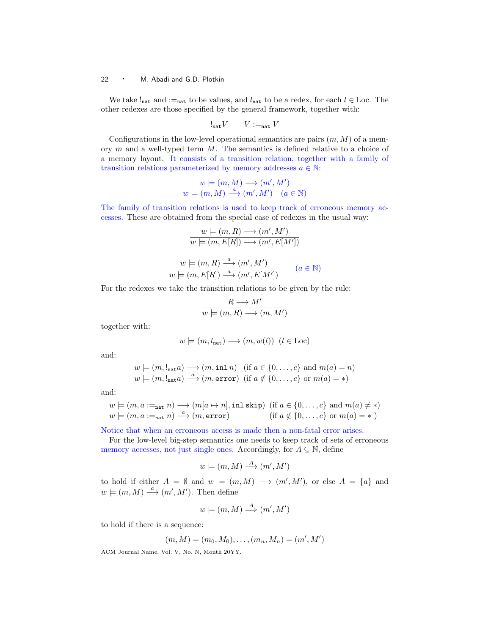We take  $!_{nat}$  and  $:=_{nat}$  to be values, and  $l_{nat}$  to be a redex, for each  $l \in Loc$ . The other redexes are those specified by the general framework, together with:

$$
!_{\rm nat}V \qquad V:={}_{\rm nat} V
$$

Configurations in the low-level operational semantics are pairs  $(m, M)$  of a memory m and a well-typed term M. The semantics is defined relative to a choice of a memory layout. It consists of a transition relation, together with a family of transition relations parameterized by memory addresses  $a \in \mathbb{N}$ :

$$
w \models (m, M) \longrightarrow (m', M')
$$
  

$$
w \models (m, M) \stackrel{a}{\longrightarrow} (m', M') \quad (a \in \mathbb{N})
$$

The family of transition relations is used to keep track of erroneous memory accesses. These are obtained from the special case of redexes in the usual way:

$$
w \models (m, R) \rightarrow (m', M')
$$
  

$$
w \models (m, E[R]) \rightarrow (m', E[M'])
$$
  

$$
w \models (m, R) \xrightarrow{a} (m', M')
$$
  

$$
w \models (m, E[R]) \xrightarrow{a} (m', E[M'])
$$
  $(a \in \mathbb{N})$ 

For the redexes we take the transition relations to be given by the rule:

$$
R \longrightarrow M'
$$
  

$$
w \models (m, R) \longrightarrow (m, M')
$$

together with:

$$
w \models (m, l_{\mathtt{nat}}) \longrightarrow (m, w(l)) \ \ (l \in \mathrm{Loc})
$$

and:

$$
w \models (m, !_{\texttt{nat}}a) \longrightarrow (m, \texttt{inl } n) \text{ (if } a \in \{0, ..., c\} \text{ and } m(a) = n)
$$
  

$$
w \models (m, !_{\texttt{nat}}a) \stackrel{a}{\longrightarrow} (m, \texttt{error}) \text{ (if } a \notin \{0, ..., c\} \text{ or } m(a) = *)
$$

and:

$$
w \models (m, a :=_{\text{nat}} n) \rightarrow (m[a \mapsto n], \text{inl skip}) \text{ (if } a \in \{0, \dots, c\} \text{ and } m(a) \neq *)
$$
  

$$
w \models (m, a :=_{\text{nat}} n) \stackrel{a}{\longrightarrow} (m, \text{error}) \text{ (if } a \notin \{0, \dots, c\} \text{ or } m(a) = *)
$$

Notice that when an erroneous access is made then a non-fatal error arises.

For the low-level big-step semantics one needs to keep track of sets of erroneous memory accesses, not just single ones. Accordingly, for  $A \subseteq \mathbb{N}$ , define

$$
w \models (m, M) \stackrel{A}{\longrightarrow} (m', M')
$$

to hold if either  $A = \emptyset$  and  $w \models (m, M) \longrightarrow (m', M')$ , or else  $A = \{a\}$  and  $w \models (m, M) \stackrel{a}{\longrightarrow} (m', M')$ . Then define

$$
w \models (m, M) \stackrel{A}{\Longrightarrow} (m', M')
$$

to hold if there is a sequence:

$$
(m, M) = (m_0, M_0), \dots, (m_n, M_n) = (m', M')
$$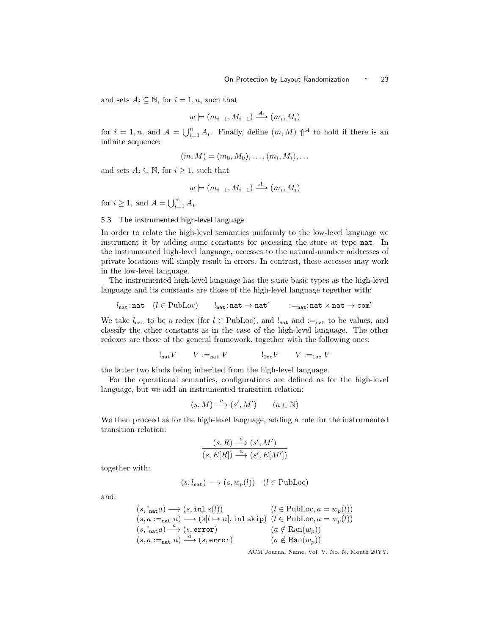and sets  $A_i \subseteq \mathbb{N}$ , for  $i = 1, n$ , such that

$$
w \models (m_{i-1}, M_{i-1}) \xrightarrow{A_i} (m_i, M_i)
$$

for  $i = 1, n$ , and  $A = \bigcup_{i=1}^{n} A_i$ . Finally, define  $(m, M) \uparrow^{A}$  to hold if there is an infinite sequence:

$$
(m, M) = (m_0, M_0), \ldots, (m_i, M_i), \ldots
$$

and sets  $A_i \subseteq \mathbb{N}$ , for  $i \geq 1$ , such that

$$
w \models (m_{i-1}, M_{i-1}) \xrightarrow{A_i} (m_i, M_i)
$$

for  $i \geq 1$ , and  $A = \bigcup_{i=1}^{\infty} A_i$ .

# 5.3 The instrumented high-level language

In order to relate the high-level semantics uniformly to the low-level language we instrument it by adding some constants for accessing the store at type nat. In the instrumented high-level language, accesses to the natural-number addresses of private locations will simply result in errors. In contrast, these accesses may work in the low-level language.

The instrumented high-level language has the same basic types as the high-level language and its constants are those of the high-level language together with:

 $l_{\text{nat}}: \text{nat} \quad (l \in \text{Public})$   $l_{\text{nat}}: \text{nat} \rightarrow \text{nat}^e$   $:=_{\text{nat}}: \text{nat} \times \text{nat} \rightarrow \text{com}^e$ 

We take  $l_{\text{nat}}$  to be a redex (for  $l \in \text{PubLoc}$ ), and  $l_{\text{nat}}$  and  $:=_{\text{nat}}$  to be values, and classify the other constants as in the case of the high-level language. The other redexes are those of the general framework, together with the following ones:

$$
!_{\text{nat}}V \qquad V :=_{\text{nat}}V \qquad \qquad !_{\text{loc}}V \qquad V :=_{\text{loc}}V
$$

the latter two kinds being inherited from the high-level language.

For the operational semantics, configurations are defined as for the high-level language, but we add an instrumented transition relation:

$$
(s, M) \xrightarrow{a} (s', M') \qquad (a \in \mathbb{N})
$$

We then proceed as for the high-level language, adding a rule for the instrumented transition relation:

$$
\frac{(s,R)\stackrel{a}{\longrightarrow}(s',M')}{(s,E[R])\stackrel{a}{\longrightarrow}(s',E[M'])}
$$

together with:

$$
(s, l_{\text{nat}}) \longrightarrow (s, w_p(l)) \quad (l \in \text{PubLoc})
$$

and:

$$
(s, \mathsf{l}_{\texttt{nat}} a) \longrightarrow (s, \mathtt{inl}\ s(l)) \qquad (l \in \texttt{Public}, a = w_p(l))
$$
  
\n
$$
(s, a :=_{\texttt{nat}} n) \longrightarrow (s[l \mapsto n], \mathtt{inl}\ \texttt{skip}) \ (l \in \texttt{Public}, a = w_p(l))
$$
  
\n
$$
(s, \mathsf{l}_{\texttt{nat}} a) \stackrel{a}{\longrightarrow} (s, \texttt{error}) \qquad (a \notin \texttt{Ran}(w_p))
$$
  
\n
$$
(s, a :=_{\texttt{nat}} n) \stackrel{a}{\longrightarrow} (s, \texttt{error}) \qquad (a \notin \texttt{Ran}(w_p))
$$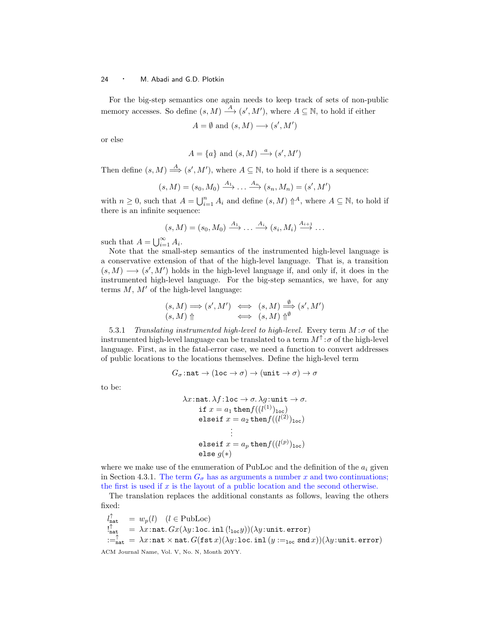For the big-step semantics one again needs to keep track of sets of non-public memory accesses. So define  $(s, M) \stackrel{A}{\longrightarrow} (s', M')$ , where  $A \subseteq \mathbb{N}$ , to hold if either

$$
A = \emptyset \text{ and } (s, M) \longrightarrow (s', M')
$$

or else

$$
A=\{a\}
$$
 and  $(s,M)\stackrel{a}{\longrightarrow}(s',M')$ 

Then define  $(s, M) \stackrel{A}{\Longrightarrow} (s', M')$ , where  $A \subseteq \mathbb{N}$ , to hold if there is a sequence:

$$
(s, M) = (s_0, M_0) \xrightarrow{A_1} \dots \xrightarrow{A_n} (s_n, M_n) = (s', M')
$$

with  $n \geq 0$ , such that  $A = \bigcup_{i=1}^{n} A_i$  and define  $(s, M) \uparrow A$ , where  $A \subseteq \mathbb{N}$ , to hold if there is an infinite sequence:

$$
(s, M) = (s_0, M_0) \xrightarrow{A_1} \dots \xrightarrow{A_i} (s_i, M_i) \xrightarrow{A_{i+1}} \dots
$$

such that  $A = \bigcup_{i=1}^{\infty} A_i$ .

Note that the small-step semantics of the instrumented high-level language is a conservative extension of that of the high-level language. That is, a transition  $(s, M) \longrightarrow (s', M')$  holds in the high-level language if, and only if, it does in the instrumented high-level language. For the big-step semantics, we have, for any terms  $M, M'$  of the high-level language:

$$
(s, M) \Longrightarrow (s', M') \iff (s, M) \stackrel{\emptyset}{\Longrightarrow} (s', M')
$$
  

$$
(s, M) \uparrow \qquad \iff (s, M) \uparrow \qquad \qquad
$$

5.3.1 Translating instrumented high-level to high-level. Every term  $M : \sigma$  of the instrumented high-level language can be translated to a term  $M^{\uparrow}$ : $\sigma$  of the high-level language. First, as in the fatal-error case, we need a function to convert addresses of public locations to the locations themselves. Define the high-level term

$$
G_{\sigma} : \mathtt{nat} \to (\mathtt{loc} \to \sigma) \to (\mathtt{unit} \to \sigma) \to \sigma
$$

to be:

$$
\lambda x : \texttt{nat}.\lambda f : \texttt{loc} \to \sigma.\lambda g : \texttt{unit} \to \sigma.
$$
  
\nif  $x = a_1 \text{ then } f((l^{(1)})_{\texttt{loc}})$   
\nelseif  $x = a_2 \text{ then } f((l^{(2)})_{\texttt{loc}})$   
\n $\vdots$   
\nelseif  $x = a_p \text{ then } f((l^{(p)})_{\texttt{loc}})$   
\nelse  $g(*)$ 

where we make use of the enumeration of PubLoc and the definition of the  $a_i$  given in Section 4.3.1. The term  $G_{\sigma}$  has as arguments a number x and two continuations; the first is used if  $x$  is the layout of a public location and the second otherwise.

The translation replaces the additional constants as follows, leaving the others fixed:

$$
\begin{array}{lll} l^{\uparrow}_{\mathtt{nat}} & = & w_p(l) & (l \in \mathtt{PubLoc}) \\ \frac{l^{\uparrow}_{\mathtt{nat}}}{\vert_{\mathtt{nat}}} & = & \lambda x \!:\! \mathtt{nat}. \, Gx(\lambda y \!:\! \mathtt{loc}.\, \mathtt{inl}\, ({}^{\mathbf{l}}\! \mathtt{loc} y))(\lambda y \!:\! \mathtt{unit}.\, \mathtt{error}) \\ :=\uparrow_{\mathtt{nat}}^{^{\uparrow}} & = & \lambda x \!:\! \mathtt{nat}. \, G(\mathtt{fst}\, x)(\lambda y \!:\! \mathtt{loc}.\, \mathtt{inl}\, (y :=_{\mathtt{loc}} \mathtt{snd}\, x))(\lambda y \!:\! \mathtt{unit}.\, \mathtt{error}) \end{array}
$$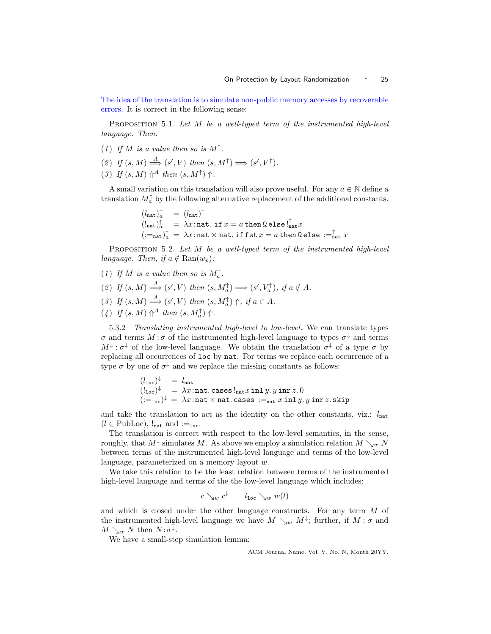The idea of the translation is to simulate non-public memory accesses by recoverable errors. It is correct in the following sense:

PROPOSITION 5.1. Let  $M$  be a well-typed term of the instrumented high-level language. Then:

- (1) If M is a value then so is  $M^{\uparrow}$ .
- (2) If  $(s, M) \stackrel{A}{\Longrightarrow} (s', V)$  then  $(s, M^{\uparrow}) \Longrightarrow (s', V^{\uparrow})$ .
- (3) If  $(s, M) \uparrow^A$  then  $(s, M^{\uparrow}) \uparrow$ .

A small variation on this translation will also prove useful. For any  $a \in \mathbb{N}$  define a translation  $M_a^{\uparrow}$  by the following alternative replacement of the additional constants.

$$
(l_{\text{nat}})^{\uparrow}_{a} = (l_{\text{nat}})^{\uparrow}
$$
  
\n
$$
(!_{\text{nat}})^{\uparrow}_{a} = \lambda x : \text{nat. if } x = a \text{ then } \Omega \text{ else } !^{\uparrow}_{\text{nat}} x
$$
  
\n
$$
(:=_{\text{nat}})^{\uparrow}_{a} = \lambda x : \text{nat} \times \text{nat. if } \text{fst } x = a \text{ then } \Omega \text{ else } :=^{\uparrow}_{\text{nat}} x
$$

PROPOSITION 5.2. Let  $M$  be a well-typed term of the instrumented high-level language. Then, if  $a \notin \text{Ran}(w_p)$ :

- (1) If M is a value then so is  $M_a^{\uparrow}$ .
- (2) If  $(s, M) \stackrel{A}{\Longrightarrow} (s', V)$  then  $(s, M_a^{\uparrow}) \Longrightarrow (s', V_a^{\uparrow})$ , if  $a \notin A$ .
- (3) If  $(s, M) \stackrel{A}{\Longrightarrow} (s', V)$  then  $(s, M_a^{\uparrow}) \Uparrow$ , if  $a \in A$ .
- $(4)$  If  $(s, M) \uparrow^{A}$  then  $(s, M_{a}^{\uparrow}) \uparrow$ .

5.3.2 Translating instrumented high-level to low-level. We can translate types σ and terms M : σ of the instrumented high-level language to types σ<sup>↓</sup> and terms  $M^{\downarrow}$ :  $\sigma^{\downarrow}$  of the low-level language. We obtain the translation  $\sigma^{\downarrow}$  of a type  $\sigma$  by replacing all occurrences of loc by nat. For terms we replace each occurrence of a type  $\sigma$  by one of  $\sigma^{\downarrow}$  and we replace the missing constants as follows:

$$
(l_{\text{loc}})^{\downarrow} = l_{\text{nat}}
$$
  
\n
$$
(!_{\text{loc}})^{\downarrow} = \lambda x : \text{nat} \cdot \text{cases} !_{\text{nat}} x \text{ inl } y. y \text{ inr } z. 0
$$
  
\n
$$
(:=_{\text{loc}})^{\downarrow} = \lambda x : \text{nat} \times \text{nat} \cdot \text{cases} ::_{\text{nat}} x \text{ inl } y. y \text{ inr } z. \text{ skip}
$$

and take the translation to act as the identity on the other constants, viz.:  $l_{\text{nat}}$  $(l \in \text{PubLoc}), \, !_{\text{nat}} \text{ and } :=_{\text{loc}}.$ 

The translation is correct with respect to the low-level semantics, in the sense, roughly, that  $M^{\downarrow}$  simulates M. As above we employ a simulation relation  $M \searrow_{w} N$ between terms of the instrumented high-level language and terms of the low-level language, parameterized on a memory layout w.

We take this relation to be the least relation between terms of the instrumented high-level language and terms of the the low-level language which includes:

$$
c \searrow_w c^+ \qquad l_{\text{loc}} \searrow_w w(l)
$$

and which is closed under the other language constructs. For any term M of the instrumented high-level language we have  $M \searrow_w M^{\downarrow}$ ; further, if  $M : \sigma$  and  $M \searrow_w N$  then  $N : \sigma^{\downarrow}$ .

We have a small-step simulation lemma: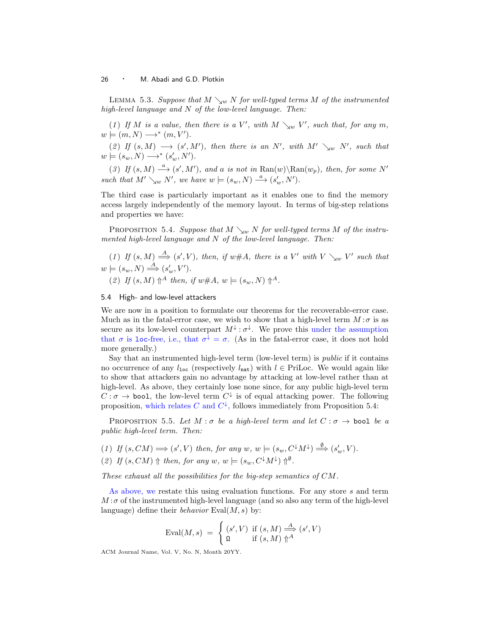LEMMA 5.3. Suppose that  $M \searrow_w N$  for well-typed terms M of the instrumented high-level language and  $N$  of the low-level language. Then:

(1) If M is a value, then there is a V', with  $M \searrow_w V'$ , such that, for any m,  $w \models (m, N) \longrightarrow^* (m, V').$ 

(2) If  $(s, M) \longrightarrow (s', M')$ , then there is an N', with  $M' \searrow_w N'$ , such that  $w \models (s_w, N) \longrightarrow^* (s'_w, N').$ 

(3) If  $(s, M) \stackrel{a}{\longrightarrow} (s', M')$ , and a is not in  $\text{Ran}(w) \setminus \text{Ran}(w_p)$ , then, for some N' such that  $M' \searrow_w N'$ , we have  $w \models (s_w, N) \stackrel{a}{\longrightarrow} (s'_w, N')$ .

The third case is particularly important as it enables one to find the memory access largely independently of the memory layout. In terms of big-step relations and properties we have:

PROPOSITION 5.4. Suppose that  $M \searrow_w N$  for well-typed terms M of the instrumented high-level language and N of the low-level language. Then:

(1) If 
$$
(s, M) \stackrel{A}{\Longrightarrow} (s', V)
$$
, then, if  $w \# A$ , there is a V' with  $V \searrow_w V'$  such that  $w \models (s_w, N) \stackrel{A}{\Longrightarrow} (s'_w, V').$   
(2) If  $(s, M) \uparrow^A$  then, if  $w \# A$ ,  $w \models (s_w, N) \uparrow^A$ .

#### 5.4 High- and low-level attackers

We are now in a position to formulate our theorems for the recoverable-error case. Much as in the fatal-error case, we wish to show that a high-level term  $M : \sigma$  is as secure as its low-level counterpart  $M^{\downarrow}$ :  $\sigma^{\downarrow}$ . We prove this under the assumption that  $\sigma$  is loc-free, i.e., that  $\sigma^{\downarrow} = \sigma$ . (As in the fatal-error case, it does not hold more generally.)

Say that an instrumented high-level term (low-level term) is public if it contains no occurrence of any  $l_{loc}$  (respectively  $l_{nat}$ ) with  $l \in PriLoc$ . We would again like to show that attackers gain no advantage by attacking at low-level rather than at high-level. As above, they certainly lose none since, for any public high-level term  $C : \sigma \to \text{bool}$ , the low-level term  $C^{\downarrow}$  is of equal attacking power. The following proposition, which relates C and  $C^{\downarrow}$ , follows immediately from Proposition 5.4:

PROPOSITION 5.5. Let  $M : \sigma$  be a high-level term and let  $C : \sigma \to \text{bool}$  be a public high-level term. Then:

 $\sigma$ 

(1) If 
$$
(s, CM) \implies (s', V)
$$
 then, for any  $w, w \models (s_w, C \nmid M^{\downarrow}) \implies (s'_w, V)$ .

(2) If  $(s, CM) \Uparrow$  then, for any  $w, w \models (s_w, C \cup M^{\perp}) \Uparrow^{\emptyset}$ .

These exhaust all the possibilities for the big-step semantics of CM.

As above, we restate this using evaluation functions. For any store s and term  $M$ :  $\sigma$  of the instrumented high-level language (and so also any term of the high-level language) define their *behavior* Eval $(M, s)$  by:

$$
\text{Eval}(M, s) = \begin{cases} (s', V) & \text{if } (s, M) \stackrel{A}{\Longrightarrow} (s', V) \\ \Omega & \text{if } (s, M) \uparrow A \end{cases}
$$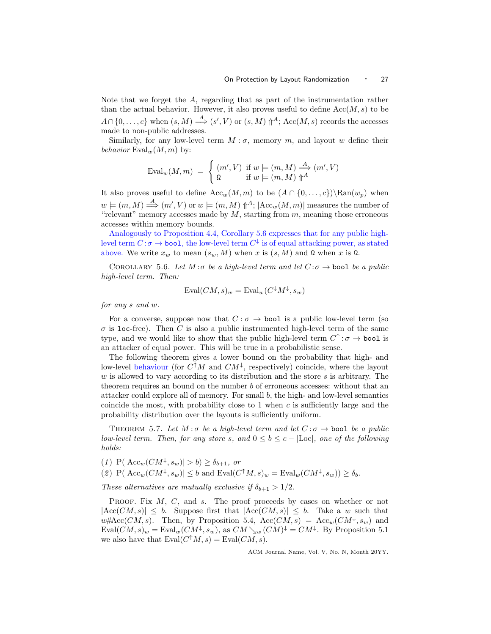Note that we forget the A, regarding that as part of the instrumentation rather than the actual behavior. However, it also proves useful to define  $Acc(M, s)$  to be  $A \cap \{0, \ldots, c\}$  when  $(s, M) \stackrel{A}{\Longrightarrow} (s', V)$  or  $(s, M) \uparrow^{A}$ ; Acc $(M, s)$  records the accesses made to non-public addresses.

Similarly, for any low-level term  $M : \sigma$ , memory m, and layout w define their behavior  $\text{Eval}_w(M,m)$  by:

$$
\text{Eval}_{w}(M, m) = \begin{cases} (m', V) & \text{if } w \models (m, M) \stackrel{A}{\Longrightarrow} (m', V) \\ \Omega & \text{if } w \models (m, M) \uparrow A \end{cases}
$$

It also proves useful to define  $Acc_w(M,m)$  to be  $(A \cap \{0,\ldots,c\})\$ Ran $(w_n)$  when  $w \models (m, M) \stackrel{A}{\Longrightarrow} (m', V)$  or  $w \models (m, M) \Uparrow^{A}; |\text{Acc}_{w}(M, m)|$  measures the number of "relevant" memory accesses made by  $M$ , starting from  $m$ , meaning those erroneous accesses within memory bounds.

Analogously to Proposition 4.4, Corollary 5.6 expresses that for any public highlevel term  $C:\sigma\to\mathbf{bool}$ , the low-level term  $C^{\downarrow}$  is of equal attacking power, as stated above. We write  $x_w$  to mean  $(s_w, M)$  when x is  $(s, M)$  and  $\Omega$  when x is  $\Omega$ .

COROLLARY 5.6. Let  $M : \sigma$  be a high-level term and let  $C : \sigma \to \text{bool}$  be a public high-level term. Then:

$$
Eval(CM, s)_w = \text{Eval}_w(C^{\downarrow}M^{\downarrow}, s_w)
$$

for any s and w.

For a converse, suppose now that  $C : \sigma \to \text{bool}$  is a public low-level term (so  $\sigma$  is loc-free). Then C is also a public instrumented high-level term of the same type, and we would like to show that the public high-level term  $C^{\uparrow}$ :  $\sigma \to$  bool is an attacker of equal power. This will be true in a probabilistic sense.

The following theorem gives a lower bound on the probability that high- and low-level behaviour (for  $C^{\dagger}M$  and  $CM^{\downarrow}$ , respectively) coincide, where the layout  $w$  is allowed to vary according to its distribution and the store  $s$  is arbitrary. The theorem requires an bound on the number  $b$  of erroneous accesses: without that an attacker could explore all of memory. For small  $b$ , the high- and low-level semantics coincide the most, with probability close to 1 when  $c$  is sufficiently large and the probability distribution over the layouts is sufficiently uniform.

THEOREM 5.7. Let  $M : \sigma$  be a high-level term and let  $C : \sigma \to \text{bool}$  be a public low-level term. Then, for any store s, and  $0 \leq b \leq c - |\text{Loc}|$ , one of the following holds:

(1)  $P(|Acc_w(CM^{\downarrow}, s_w)| > b) \geq \delta_{b+1}$ , or

(2)  $P(|Acc_w(CM^{\downarrow}, s_w)| \leq b$  and  $Eval(C^{\uparrow}M, s_w) = eval_w(CM^{\downarrow}, s_w) > \delta_b$ .

These alternatives are mutually exclusive if  $\delta_{b+1} > 1/2$ .

PROOF. Fix  $M$ ,  $C$ , and  $s$ . The proof proceeds by cases on whether or not  $|\text{Acc}(CM, s)| \leq b$ . Suppose first that  $|\text{Acc}(CM, s)| \leq b$ . Take a w such that w#Acc(CM,s). Then, by Proposition 5.4, Acc(CM,s) = Acc<sub>w</sub>(CM<sup>+</sup>, s<sub>w</sub>) and  $Eval(CM, s)_w = \text{Eval}_w(CM^{\downarrow}, s_w)$ , as  $CM \searrow_w (CM)^{\downarrow} = CM^{\downarrow}$ . By Proposition 5.1 we also have that  $Eval(C^{\uparrow}M, s) = eval(CM, s)$ .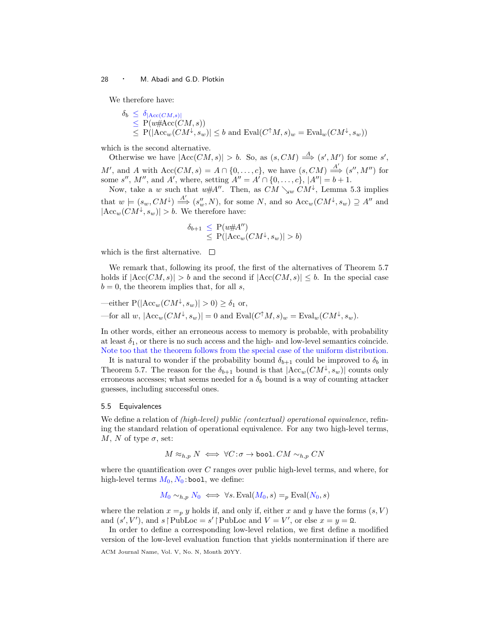We therefore have:

$$
\delta_b \leq \delta_{|\text{Acc}(CM, s)|} \leq \text{P}(\text{w#Acc}(CM, s)) \leq \text{P}(|\text{Acc}_w(CM^{\downarrow}, s_w)| \leq b \text{ and } \text{Eval}(C^{\uparrow}M, s)_w = \text{Eval}_w(CM^{\downarrow}, s_w))
$$

which is the second alternative.

Otherwise we have  $|Acc(CM, s)| > b$ . So, as  $(s, CM) \stackrel{A}{\Longrightarrow} (s', M')$  for some s', M', and A with  $Acc(CM, s) = A \cap \{0, \ldots, c\}$ , we have  $(s, CM) \stackrel{A'}{\Longrightarrow} (s'', M'')$  for some s'', M'', and A', where, setting  $A'' = A' \cap \{0, ..., c\}, |A''| = b + 1.$ 

Now, take a w such that w#A". Then, as  $CM \searrow_w CM^{\downarrow}$ , Lemma 5.3 implies that  $w \models (s_w, CM^{\downarrow}) \stackrel{A'}{\Longrightarrow} (s_w'', N)$ , for some N, and so  $Acc_w(CM^{\downarrow}, s_w) \supseteq A''$  and  $|Acc_w(CM^{\downarrow}, s_w)| > b$ . We therefore have:

$$
\delta_{b+1} \leq P(w \# A'')
$$
  
\n
$$
\leq P(|Acc_w(CM^{\downarrow}, s_w)| > b)
$$

which is the first alternative.  $\square$ 

We remark that, following its proof, the first of the alternatives of Theorem 5.7 holds if  $|Acc(CM, s)| > b$  and the second if  $|Acc(CM, s)| \leq b$ . In the special case  $b = 0$ , the theorem implies that, for all s,

—either 
$$
P(|Acc_w(CM^{\downarrow}, s_w)| > 0) \ge \delta_1
$$
 or,

—for all w,  $|\text{Acc}_w(CM^{\downarrow}, s_w)| = 0$  and  $\text{Eval}(C^{\uparrow}M, s_w) = \text{Eval}_w(CM^{\downarrow}, s_w)$ .

In other words, either an erroneous access to memory is probable, with probability at least  $\delta_1$ , or there is no such access and the high- and low-level semantics coincide. Note too that the theorem follows from the special case of the uniform distribution.

It is natural to wonder if the probability bound  $\delta_{b+1}$  could be improved to  $\delta_b$  in Theorem 5.7. The reason for the  $\delta_{b+1}$  bound is that  $|Acc_w(CM^{\downarrow}, s_w)|$  counts only erroneous accesses; what seems needed for a  $\delta_b$  bound is a way of counting attacker guesses, including successful ones.

# 5.5 Equivalences

We define a relation of *(high-level)* public *(contextual)* operational equivalence, refining the standard relation of operational equivalence. For any two high-level terms, M, N of type  $\sigma$ , set:

$$
M \approx_{h,p} N \iff \forall C \!:\! \sigma \to \texttt{bool}.\,CM \sim_{h,p} CN
$$

where the quantification over  $C$  ranges over public high-level terms, and where, for high-level terms  $M_0, N_0$ : bool, we define:

$$
M_0 \sim_{h,p} N_0 \iff \forall s. \text{Eval}(M_0, s) =_p \text{Eval}(N_0, s)
$$

where the relation  $x =_p y$  holds if, and only if, either x and y have the forms  $(s, V)$ and  $(s', V')$ , and  $s \upharpoonright \text{PubLoc} = s' \upharpoonright \text{PubLoc}$  and  $V = V'$ , or else  $x = y = \Omega$ .

In order to define a corresponding low-level relation, we first define a modified version of the low-level evaluation function that yields nontermination if there are

ACM Journal Name, Vol. V, No. N, Month 20YY.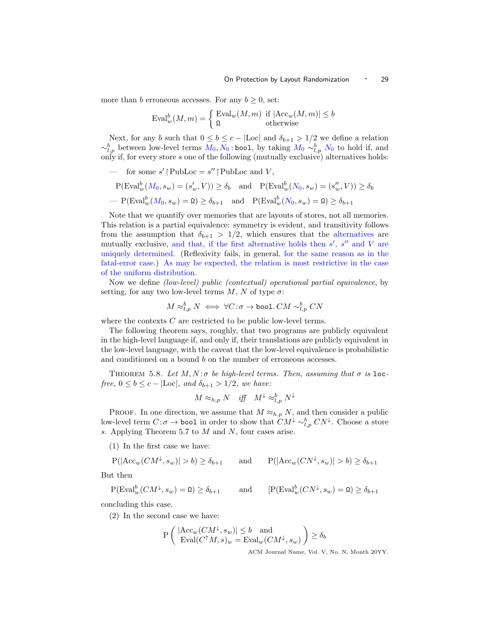more than b erroneous accesses. For any  $b \geq 0$ , set:

$$
\text{Eval}^{b}_{w}(M,m) = \begin{cases} \text{Eval}_{w}(M,m) & \text{if } |\text{Acc}_{w}(M,m)| \leq b \\ \Omega & \text{otherwise} \end{cases}
$$

Next, for any b such that  $0 \le b \le c - |Loc|$  and  $\delta_{b+1} > 1/2$  we define a relation  $\sim_{l,p}^b$  between low-level terms  $M_0, N_0$ : bool, by taking  $M_0 \sim_{l,p}^b N_0$  to hold if, and only if, for every store  $s$  one of the following (mutually exclusive) alternatives holds:

- for some 
$$
s' \upharpoonright \text{PubLoc} = s'' \upharpoonright \text{PubLoc}
$$
 and  $V$ ,

$$
P(\text{Eval}_{w}^{b}(M_0, s_w) = (s'_w, V)) \ge \delta_b \text{ and } P(\text{Eval}_{w}^{b}(N_0, s_w) = (s''_w, V)) \ge \delta_b
$$
  
- 
$$
P(\text{Eval}_{w}^{b}(M_0, s_w) = \Omega) \ge \delta_{b+1} \text{ and } P(\text{Eval}_{w}^{b}(N_0, s_w) = \Omega) \ge \delta_{b+1}
$$

Note that we quantify over memories that are layouts of stores, not all memories. This relation is a partial equivalence: symmetry is evident, and transitivity follows from the assumption that  $\delta_{b+1} > 1/2$ , which ensures that the alternatives are mutually exclusive, and that, if the first alternative holds then  $s'$ ,  $s''$  and V are uniquely determined. (Reflexivity fails, in general, for the same reason as in the fatal-error case.) As may be expected, the relation is most restrictive in the case of the uniform distribution.

Now we define (low-level) public (contextual) operational partial equivalence, by setting, for any two low-level terms  $M$ , N of type  $\sigma$ :

$$
M \approx_{l,p}^b N \iff \forall C \!:\! \sigma \to \texttt{bool}.\mathit{CM} \sim_{l,p}^b \mathit{CN}
$$

where the contexts  $C$  are restricted to be public low-level terms.

The following theorem says, roughly, that two programs are publicly equivalent in the high-level language if, and only if, their translations are publicly equivalent in the low-level language, with the caveat that the low-level equivalence is probabilistic and conditioned on a bound b on the number of erroneous accesses.

THEOREM 5.8. Let  $M, N: \sigma$  be high-level terms. Then, assuming that  $\sigma$  is locfree,  $0 \leq b \leq c - |Loc|$ , and  $\delta_{b+1} > 1/2$ , we have:

$$
M \approx_{h,p} N \quad \text{iff} \quad M^{\downarrow} \approx_{l,p}^{b} N^{\downarrow}
$$

PROOF. In one direction, we assume that  $M \approx_{h,p} N$ , and then consider a public low-level term  $C: \sigma \to \text{bool}$  in order to show that  $CM^{\downarrow} \sim_{l,p}^b CN^{\downarrow}$ . Choose a store s. Applying Theorem 5.7 to  $M$  and  $N$ , four cases arise.

(1) In the first case we have:

 $P(|Acc_w(CM^{\downarrow}, s_w)| > b) \ge \delta_{b+1}$  and  $P(|Acc_w(CN^{\downarrow}, s_w)| > b) \ge \delta_{b+1}$ 

But then

 $P(\text{Eval}_{w}^{b}(CM^{\downarrow}, s_{w}) = \Omega) \ge \delta_{b+1}$  and  $[P(\text{Eval}_{w}^{b}(CM^{\downarrow}, s_{w}) = \Omega)]$  $[{\rm P}({\rmEval}_{w}^{b}(CN^{\downarrow}, s_{w}) = \Omega) > \delta_{b+1}$ 

concluding this case.

(2) In the second case we have:

$$
\mathrm{P}\left(\frac{|\mathrm{Acc}_w(CM^\downarrow,s_w)| \leq b \quad \text{and} }{\mathrm{Eval}(C^\uparrow M,s)_w = \mathrm{Eval}_w(CM^\downarrow,s_w)}\right) \geq \delta_b
$$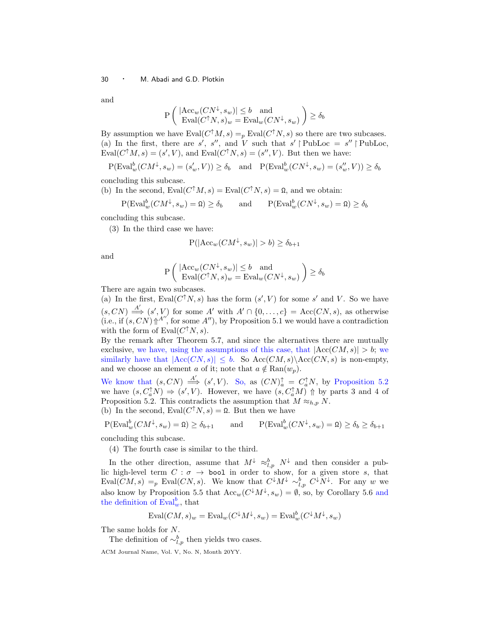and

$$
P\left(\left|\operatorname{Acc}_{w}(CN^{\downarrow}, s_{w})\right| \leq b \quad \text{and} \left(\operatorname{Eval}(C^{\uparrow}N, s)_{w} = \operatorname{Eval}_{w}(CN^{\downarrow}, s_{w})\right) \geq \delta_{b}
$$

By assumption we have  $Eval(C^{\dagger}M, s) =_{p} \text{Eval}(C^{\dagger}N, s)$  so there are two subcases. (a) In the first, there are s', s'', and V such that s' | PubLoc =  $s''$  | PubLoc,  $Eval(C \uparrow M, s) = (s', V)$ , and  $Eval(C \uparrow N, s) = (s'', V)$ . But then we have:

$$
\mathbf{P}(\mathrm{Eval}_{w}^{b}(CM^{\downarrow}, s_{w}) = (s'_{w}, V)) \ge \delta_{b} \quad \text{and} \quad \mathbf{P}(\mathrm{Eval}_{w}^{b}(CN^{\downarrow}, s_{w}) = (s''_{w}, V)) \ge \delta_{b}
$$

concluding this subcase.

(b) In the second, 
$$
Eval(C \uparrow M, s) = \text{Eval}(C \uparrow N, s) = \Omega
$$
, and we obtain:

$$
\mathbf{P}(\mathrm{Eval}_{w}^{b}(CM^{\downarrow}, s_{w}) = \Omega) \ge \delta_{b} \quad \text{and} \quad \mathbf{P}(\mathrm{Eval}_{w}^{b}(CN^{\downarrow}, s_{w}) = \Omega) \ge \delta_{b}
$$

concluding this subcase.

(3) In the third case we have:

$$
P(|Acc_w(CM^{\downarrow}, s_w)| > b) \ge \delta_{b+1}
$$

and

$$
P\left(\frac{|\text{Acc}_{w}(CN^{\downarrow}, s_{w})| \leq b \text{ and}}{\text{Eval}(C^{\uparrow}N, s)_{w} = \text{Eval}_{w}(CN^{\downarrow}, s_{w})}\right) \geq \delta_{b}
$$

There are again two subcases.

(a) In the first,  $Eval(C^{\uparrow}N, s)$  has the form  $(s', V)$  for some s' and V. So we have  $(s, CN) \stackrel{A'}{\Longrightarrow} (s', V)$  for some A' with  $A' \cap \{0, \ldots, c\} = Acc(CN, s)$ , as otherwise (i.e., if  $(s, CN)$   $\uparrow^{A''}$ , for some A''), by Proposition 5.1 we would have a contradiction with the form of  $Eval(C^{\uparrow}N,s)$ .

By the remark after Theorem 5.7, and since the alternatives there are mutually exclusive, we have, using the assumptions of this case, that  $|Acc(CM, s)| > b$ ; we similarly have that  $|Acc(CN, s)| \leq b$ . So  $Acc(CM, s) \text{Acc}(CN, s)$  is non-empty, and we choose an element a of it; note that  $a \notin \text{Ran}(w_p)$ .

We know that  $(s, CN) \stackrel{A'}{\Longrightarrow} (s', V)$ . So, as  $(CN)^{\uparrow}_{a} = C^{\uparrow}_{a} N$ , by Proposition 5.2 we have  $(s, C_a^{\uparrow} N) \Rightarrow (s', V)$ . However, we have  $(s, C_a^{\uparrow} M) \uparrow$  by parts 3 and 4 of Proposition 5.2. This contradicts the assumption that  $M \approx_{h,p} N$ .

(b) In the second,  $Eval(C^{\uparrow}N, s) = \Omega$ . But then we have

$$
P(\text{Eval}_w^b(CM^{\downarrow}, s_w) = \Omega) \ge \delta_{b+1}
$$
 and  $P(\text{Eval}_w^b(CN^{\downarrow}, s_w) = \Omega) \ge \delta_b \ge \delta_{b+1}$ 

concluding this subcase.

(4) The fourth case is similar to the third.

In the other direction, assume that  $M^{\downarrow} \approx_{l,p}^{b} N^{\downarrow}$  and then consider a public high-level term  $C : \sigma \rightarrow \text{bool}$  in order to show, for a given store s, that  $\text{Eval}(CM, s) =_p \text{Eval}(CN, s)$ . We know that  $C^{\downarrow}M^{\downarrow} \sim_{l,p}^{b} C^{\downarrow}N^{\downarrow}$ . For any w we also know by Proposition 5.5 that  $Acc_w(C^{\downarrow}M^{\downarrow}, s_w) = \emptyset$ , so, by Corollary 5.6 and the definition of  $\text{Eval}_{w}^{b}$ , that

$$
\mathrm{Eval}(CM, s)_w = \mathrm{Eval}_w(C^{\downarrow}M^{\downarrow}, s_w) = \mathrm{Eval}_w^b(C^{\downarrow}M^{\downarrow}, s_w)
$$

The same holds for N.

The definition of  $\sim_{l,p}^b$  then yields two cases.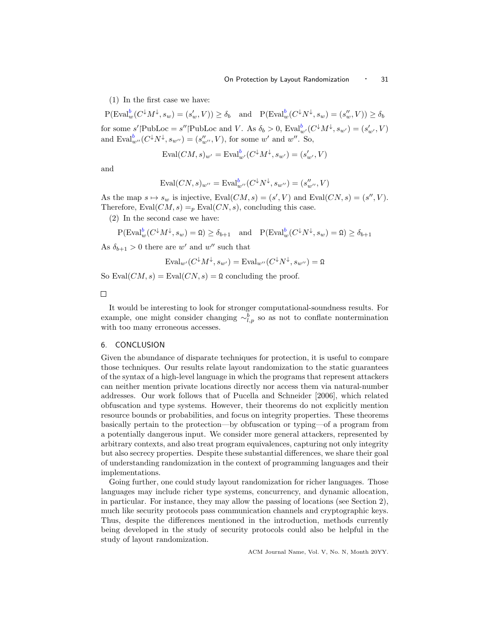(1) In the first case we have:

 $P(\text{Eval}_{w}^{b}(C^{\downarrow}M^{\downarrow}, s_{w}) = (s'_{w}, V)) \ge \delta_{b}$  and  $P(\text{Eval}_{w}^{b}(C^{\downarrow}N^{\downarrow}, s_{w}) = (s''_{w}, V)) \ge \delta_{b}$ for some  $s'$  PubLoc =  $s''$  PubLoc and V. As  $\delta_b > 0$ ,  $Eval_{w'}^b(C^{\downarrow}M^{\downarrow}, s_{w'}) = (s'_{w'}, V)$ and  $\text{Eval}_{w''}^b(C^{\downarrow}N^{\downarrow}, s_{w''}) = (s''_{w''}, V)$ , for some w' and w''. So,

$$
\text{Eval}(CM, s)_{w'} = \text{Eval}_{w'}^{b}(C^{\downarrow}M^{\downarrow}, s_{w'}) = (s'_{w'}, V)
$$

and

$$
\text{Eval}(CN, s)_{w''} = \text{Eval}_{w''}^b(C^{\downarrow}N^{\downarrow}, s_{w''}) = (s''_{w''}, V)
$$

As the map  $s \mapsto s_w$  is injective, Eval $(CM, s) = (s', V)$  and Eval $(CN, s) = (s'', V)$ . Therefore, Eval $(CM, s) = p$  Eval $(CN, s)$ , concluding this case.

(2) In the second case we have:

$$
\mathbf{P}(\mathrm{Eval}_{w}^{b}(C^{\downarrow}M^{\downarrow}, s_{w}) = \Omega) \ge \delta_{b+1} \quad \text{and} \quad \mathbf{P}(\mathrm{Eval}_{w}^{b}(C^{\downarrow}N^{\downarrow}, s_{w}) = \Omega) \ge \delta_{b+1}
$$

As  $\delta_{b+1} > 0$  there are w' and w'' such that

$$
\mathrm{Eval}_{w'}(C^{\downarrow}M^{\downarrow}, s_{w'}) = \mathrm{Eval}_{w''}(C^{\downarrow}N^{\downarrow}, s_{w''}) = \Omega
$$

So  $Eval(CM, s) = eval(CN, s) = \Omega$  concluding the proof.

### $\Box$

It would be interesting to look for stronger computational-soundness results. For example, one might consider changing  $\sim_{l,p}^b$  so as not to conflate nontermination with too many erroneous accesses.

# 6. CONCLUSION

Given the abundance of disparate techniques for protection, it is useful to compare those techniques. Our results relate layout randomization to the static guarantees of the syntax of a high-level language in which the programs that represent attackers can neither mention private locations directly nor access them via natural-number addresses. Our work follows that of Pucella and Schneider [2006], which related obfuscation and type systems. However, their theorems do not explicitly mention resource bounds or probabilities, and focus on integrity properties. These theorems basically pertain to the protection—by obfuscation or typing—of a program from a potentially dangerous input. We consider more general attackers, represented by arbitrary contexts, and also treat program equivalences, capturing not only integrity but also secrecy properties. Despite these substantial differences, we share their goal of understanding randomization in the context of programming languages and their implementations.

Going further, one could study layout randomization for richer languages. Those languages may include richer type systems, concurrency, and dynamic allocation, in particular. For instance, they may allow the passing of locations (see Section 2), much like security protocols pass communication channels and cryptographic keys. Thus, despite the differences mentioned in the introduction, methods currently being developed in the study of security protocols could also be helpful in the study of layout randomization.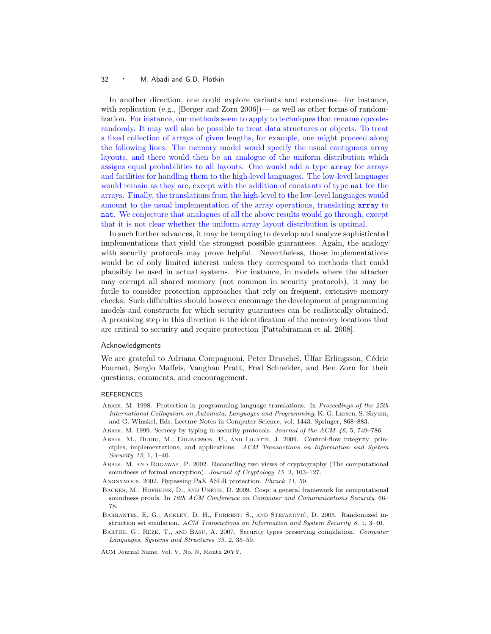In another direction, one could explore variants and extensions—for instance, with replication (e.g., [Berger and Zorn  $2006$ ])— as well as other forms of randomization. For instance, our methods seem to apply to techniques that rename opcodes randomly. It may well also be possible to treat data structures or objects. To treat a fixed collection of arrays of given lengths, for example, one might proceed along the following lines. The memory model would specify the usual contiguous array layouts, and there would then be an analogue of the uniform distribution which assigns equal probabilities to all layouts. One would add a type array for arrays and facilities for handling them to the high-level languages. The low-level languages would remain as they are, except with the addition of constants of type **nat** for the arrays. Finally, the translations from the high-level to the low-level languages would amount to the usual implementation of the array operations, translating array to nat. We conjecture that analogues of all the above results would go through, except that it is not clear whether the uniform array layout distribution is optimal.

In such further advances, it may be tempting to develop and analyze sophisticated implementations that yield the strongest possible guarantees. Again, the analogy with security protocols may prove helpful. Nevertheless, those implementations would be of only limited interest unless they correspond to methods that could plausibly be used in actual systems. For instance, in models where the attacker may corrupt all shared memory (not common in security protocols), it may be futile to consider protection approaches that rely on frequent, extensive memory checks. Such difficulties should however encourage the development of programming models and constructs for which security guarantees can be realistically obtained. A promising step in this direction is the identification of the memory locations that are critical to security and require protection [Pattabiraman et al. 2008].

#### Acknowledgments

We are grateful to Adriana Compagnoni, Peter Druschel, Ulfar Erlingsson, Cédric Fournet, Sergio Maffeis, Vaughan Pratt, Fred Schneider, and Ben Zorn for their questions, comments, and encouragement.

## REFERENCES

- Abadi, M. 1998. Protection in programming-language translations. In *Proceedings of the 25th International Colloquium on Automata, Languages and Programming*, K. G. Larsen, S. Skyum, and G. Winskel, Eds. Lecture Notes in Computer Science, vol. 1443. Springer, 868–883.
- Abadi, M. 1999. Secrecy by typing in security protocols. *Journal of the ACM 46,* 5, 749–786.
- ABADI, M., BUDIU, M., ERLINGSSON, U., AND LIGATTI, J. 2009. Control-flow integrity: principles, implementations, and applications. *ACM Transactions on Information and System Security 13,* 1, 1–40.
- Abadi, M. and Rogaway, P. 2002. Reconciling two views of cryptography (The computational soundness of formal encryption). *Journal of Cryptology 15,* 2, 103–127.

Anonymous. 2002. Bypassing PaX ASLR protection. *Phrack 11,* 59.

- Backes, M., Hofheinz, D., and Unruh, D. 2009. Cosp: a general framework for computational soundness proofs. In *16th ACM Conference on Computer and Communications Security*. 66– 78.
- BARRANTES, E. G., ACKLEY, D. H., FORREST, S., AND STEFANOVIĆ, D. 2005. Randomized instruction set emulation. *ACM Transactions on Information and System Security 8,* 1, 3–40.
- Barthe, G., Rezk, T., and Basu, A. 2007. Security types preserving compilation. *Computer Languages, Systems and Structures 33,* 2, 35–59.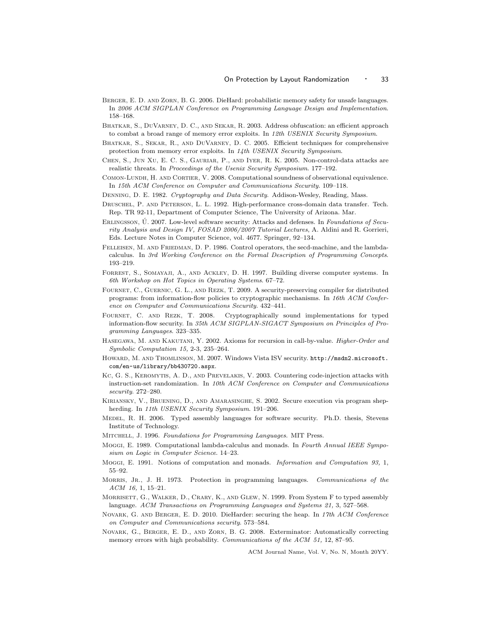- BERGER, E. D. AND ZORN, B. G. 2006. DieHard: probabilistic memory safety for unsafe languages. In *2006 ACM SIGPLAN Conference on Programming Language Design and Implementation*. 158–168.
- Bhatkar, S., DuVarney, D. C., and Sekar, R. 2003. Address obfuscation: an efficient approach to combat a broad range of memory error exploits. In *12th USENIX Security Symposium*.
- Bhatkar, S., Sekar, R., and DuVarney, D. C. 2005. Efficient techniques for comprehensive protection from memory error exploits. In *14th USENIX Security Symposium*.
- Chen, S., Jun Xu, E. C. S., Gauriar, P., and Iyer, R. K. 2005. Non-control-data attacks are realistic threats. In *Proceedings of the Usenix Security Symposium*. 177–192.
- Comon-Lundh, H. and Cortier, V. 2008. Computational soundness of observational equivalence. In *15th ACM Conference on Computer and Communications Security*. 109–118.
- Denning, D. E. 1982. *Cryptography and Data Security*. Addison-Wesley, Reading, Mass.
- Druschel, P. and Peterson, L. L. 1992. High-performance cross-domain data transfer. Tech. Rep. TR 92-11, Department of Computer Science, The University of Arizona. Mar.
- ERLINGSSON, U. 2007. Low-level software security: Attacks and defenses. In *Foundations of Security Analysis and Design IV, FOSAD 2006/2007 Tutorial Lectures*, A. Aldini and R. Gorrieri, Eds. Lecture Notes in Computer Science, vol. 4677. Springer, 92–134.
- Felleisen, M. and Friedman, D. P. 1986. Control operators, the secd-machine, and the lambdacalculus. In *3rd Working Conference on the Formal Description of Programming Concepts*. 193–219.
- Forrest, S., Somayaji, A., and Ackley, D. H. 1997. Building diverse computer systems. In *6th Workshop on Hot Topics in Operating Systems*. 67–72.
- Fournet, C., Guernic, G. L., and Rezk, T. 2009. A security-preserving compiler for distributed programs: from information-flow policies to cryptographic mechanisms. In *16th ACM Conference on Computer and Communications Security*. 432–441.
- Fournet, C. and Rezk, T. 2008. Cryptographically sound implementations for typed information-flow security. In *35th ACM SIGPLAN-SIGACT Symposium on Principles of Programming Languages*. 323–335.
- Hasegawa, M. and Kakutani, Y. 2002. Axioms for recursion in call-by-value. *Higher-Order and Symbolic Computation 15,* 2-3, 235–264.
- Howard, M. and Thomlinson, M. 2007. Windows Vista ISV security. http://msdn2.microsoft. com/en-us/library/bb430720.aspx.
- Kc, G. S., Keromytis, A. D., and Prevelakis, V. 2003. Countering code-injection attacks with instruction-set randomization. In *10th ACM Conference on Computer and Communications security*. 272–280.
- Kiriansky, V., Bruening, D., and Amarasinghe, S. 2002. Secure execution via program shepherding. In *11th USENIX Security Symposium*. 191–206.
- MEDEL, R. H. 2006. Typed assembly languages for software security. Ph.D. thesis, Stevens Institute of Technology.
- Mitchell, J. 1996. *Foundations for Programming Languages*. MIT Press.
- Moggi, E. 1989. Computational lambda-calculus and monads. In *Fourth Annual IEEE Symposium on Logic in Computer Science*. 14–23.
- Moggi, E. 1991. Notions of computation and monads. *Information and Computation 93,* 1, 55–92.
- Morris, Jr., J. H. 1973. Protection in programming languages. *Communications of the ACM 16,* 1, 15–21.
- Morrisett, G., Walker, D., Crary, K., and Glew, N. 1999. From System F to typed assembly language. *ACM Transactions on Programming Languages and Systems 21,* 3, 527–568.
- Novark, G. and Berger, E. D. 2010. DieHarder: securing the heap. In *17th ACM Conference on Computer and Communications security*. 573–584.
- Novark, G., Berger, E. D., and Zorn, B. G. 2008. Exterminator: Automatically correcting memory errors with high probability. *Communications of the ACM 51,* 12, 87–95.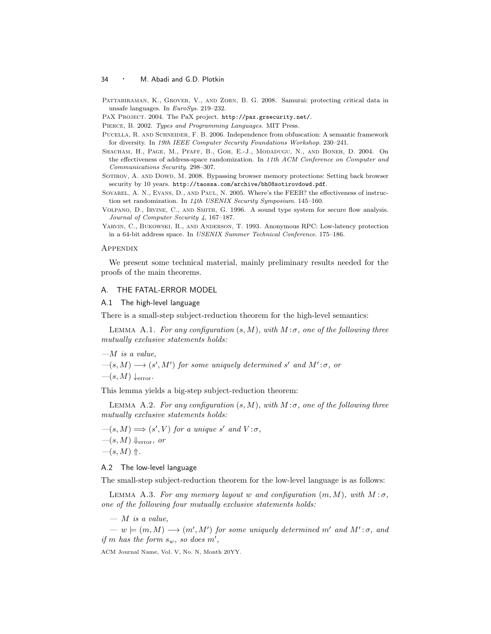- PATTABIRAMAN, K., GROVER, V., AND ZORN, B. G. 2008. Samurai: protecting critical data in unsafe languages. In *EuroSys*. 219–232.
- PAX PROJECT. 2004. The PaX project. http://pax.grsecurity.net/.
- Pierce, B. 2002. *Types and Programming Languages*. MIT Press.
- PUCELLA, R. AND SCHNEIDER, F. B. 2006. Independence from obfuscation: A semantic framework for diversity. In *19th IEEE Computer Security Foundations Workshop*. 230–241.
- SHACHAM, H., PAGE, M., PFAFF, B., GOH, E.-J., MODADUGU, N., AND BONEH, D. 2004. On the effectiveness of address-space randomization. In *11th ACM Conference on Computer and Communications Security*. 298–307.
- Sotirov, A. and Dowd, M. 2008. Bypassing browser memory protections: Setting back browser security by 10 years. http://taossa.com/archive/bh08sotirovdowd.pdf.
- Sovarel, A. N., Evans, D., and Paul, N. 2005. Where's the FEEB? the effectiveness of instruction set randomization. In *14th USENIX Security Symposium*. 145–160.
- Volpano, D., Irvine, C., and Smith, G. 1996. A sound type system for secure flow analysis. *Journal of Computer Security 4*, 167–187.
- Yarvin, C., Bukowski, R., and Anderson, T. 1993. Anonymous RPC: Low-latency protection in a 64-bit address space. In *USENIX Summer Technical Conference*. 175–186.

#### Appendix

We present some technical material, mainly preliminary results needed for the proofs of the main theorems.

# A. THE FATAL-ERROR MODEL

# A.1 The high-level language

There is a small-step subject-reduction theorem for the high-level semantics:

LEMMA A.1. For any configuration  $(s, M)$ , with  $M : \sigma$ , one of the following three mutually exclusive statements holds:

 $-M$  is a value,  $-(s, M) \longrightarrow (s', M')$  for some uniquely determined s' and  $M' : \sigma$ , or  $-(s, M) \downarrow_{\text{error}}$ .

This lemma yields a big-step subject-reduction theorem:

LEMMA A.2. For any configuration  $(s, M)$ , with  $M : \sigma$ , one of the following three mutually exclusive statements holds:

 $-(s, M) \Longrightarrow (s', V)$  for a unique s' and  $V : \sigma$ ,  $-(s, M) \Downarrow_{\text{error}}$ , or  $-(s, M)$   $\Uparrow$ .

# A.2 The low-level language

The small-step subject-reduction theorem for the low-level language is as follows:

LEMMA A.3. For any memory layout w and configuration  $(m, M)$ , with  $M : \sigma$ . one of the following four mutually exclusive statements holds:

 $-$  *M* is a value.

 $- w \models (m, M) \longrightarrow (m', M')$  for some uniquely determined m' and  $M'$ : $\sigma$ , and if m has the form  $s_w$ , so does m',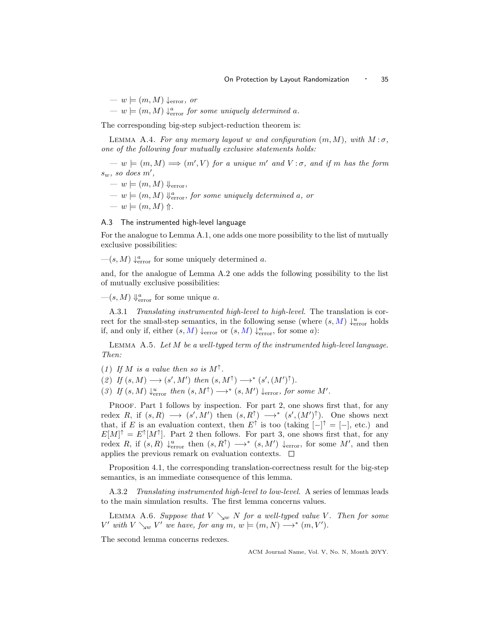$- w \models (m, M) \downarrow_{\text{error}}$ , or  $- w \models (m, M) \downarrow_{\text{error}}^a \text{ for some uniquely determined } a.$ 

The corresponding big-step subject-reduction theorem is:

LEMMA A.4. For any memory layout w and configuration  $(m, M)$ , with  $M : \sigma$ , one of the following four mutually exclusive statements holds:

 $- w \models (m, M) \Longrightarrow (m', V)$  for a unique m' and  $V : \sigma$ , and if m has the form  $s_w$ , so does m',

$$
- w \models (m, M) \Downarrow_{\text{error}},
$$

 $-\omega \models (m, M) \Downarrow_{\text{error}}^a$ , for some uniquely determined a, or

 $- w \models (m, M) \Uparrow$ .

# A.3 The instrumented high-level language

For the analogue to Lemma A.1, one adds one more possibility to the list of mutually exclusive possibilities:

 $-(s,M) \downarrow_{\text{error}}^a$  for some uniquely determined a.

and, for the analogue of Lemma A.2 one adds the following possibility to the list of mutually exclusive possibilities:

 $-(s, M) \Downarrow_{\text{error}}^a$  for some unique a.

A.3.1 Translating instrumented high-level to high-level. The translation is correct for the small-step semantics, in the following sense (where  $(s, M) \downarrow_{\text{error}}^u$  holds if, and only if, either  $(s, M) \downarrow_{\text{error}}$  or  $(s, M) \downarrow_{\text{error}}^a$ , for some a):

Lemma A.5. Let M be a well-typed term of the instrumented high-level language. Then:

- (1) If M is a value then so is  $M^{\uparrow}$ .
- (2) If  $(s, M) \longrightarrow (s', M')$  then  $(s, M^{\uparrow}) \longrightarrow^* (s', (M')^{\uparrow}).$
- (3) If  $(s, M) \downarrow_{\text{error}}^u then (s, M^{\uparrow}) \longrightarrow^* (s, M') \downarrow_{\text{error}}$ , for some M'.

PROOF. Part 1 follows by inspection. For part 2, one shows first that, for any redex R, if  $(s, R) \longrightarrow (s', M')$  then  $(s, R^{\uparrow}) \longrightarrow^* (s', (M')^{\uparrow})$ . One shows next that, if E is an evaluation context, then  $E^{\uparrow}$  is too (taking  $[-]^{\uparrow} = [-]$ , etc.) and  $E[M]$ <sup> $\uparrow$ </sup> =  $E^{\uparrow}[M^{\uparrow}]$ . Part 2 then follows. For part 3, one shows first that, for any redex R, if  $(s, R) \downarrow_{\text{error}}^u$  then  $(s, R^{\uparrow}) \longrightarrow^* (s, M') \downarrow_{\text{error}}$ , for some M', and then applies the previous remark on evaluation contexts.  $\Box$ 

Proposition 4.1, the corresponding translation-correctness result for the big-step semantics, is an immediate consequence of this lemma.

A.3.2 Translating instrumented high-level to low-level. A series of lemmas leads to the main simulation results. The first lemma concerns values.

LEMMA A.6. Suppose that  $V \searrow_{w} N$  for a well-typed value V. Then for some V' with  $V \searrow_w V'$  we have, for any  $m, w \models (m, N) \longrightarrow^* (m, V').$ 

The second lemma concerns redexes.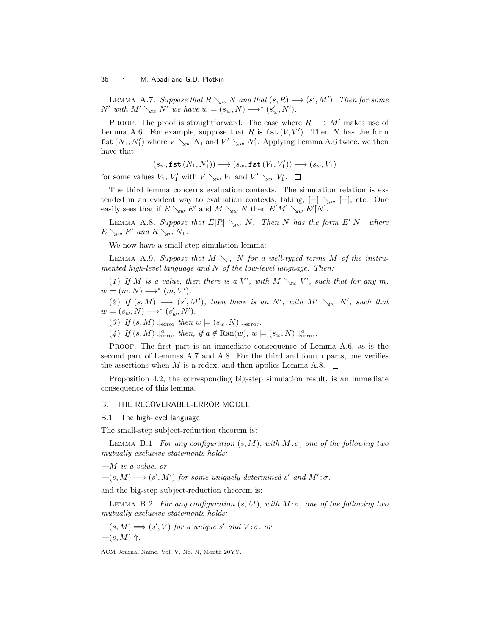LEMMA A.7. Suppose that  $R \searrow_w N$  and that  $(s, R) \longrightarrow (s', M')$ . Then for some  $N'$  with  $M' \searrow_w N'$  we have  $w \models (s_w, N) \longrightarrow^* (s'_w, N').$ 

PROOF. The proof is straightforward. The case where  $R \longrightarrow M'$  makes use of Lemma A.6. For example, suppose that R is  $f$  is  $f$  st  $(V, V')$ . Then N has the form **fst**  $(N_1, N'_1)$  where  $V \searrow_w N_1$  and  $V' \searrow_w N'_1$ . Applying Lemma A.6 twice, we then have that:

$$
(s_w, \texttt{fst}\,(N_1,N'_1)) \longrightarrow (s_w, \texttt{fst}\,(V_1,V'_1)) \longrightarrow (s_w,V_1)
$$

for some values  $V_1$ ,  $V'_1$  with  $V \searrow_w V_1$  and  $V' \searrow_w V'_1$ .

The third lemma concerns evaluation contexts. The simulation relation is extended in an evident way to evaluation contexts, taking,  $[-] \searrow_w [-]$ , etc. One easily sees that if  $E \searrow_w E'$  and  $M \searrow_w N$  then  $E[M] \searrow_w E'[N]$ .

LEMMA A.8. Suppose that  $E[R] \searrow_w N$ . Then N has the form  $E'[N_1]$  where  $E \searrow_w E'$  and  $R \searrow_w N_1$ .

We now have a small-step simulation lemma:

LEMMA A.9. Suppose that  $M \searrow_{w} N$  for a well-typed terms M of the instrumented high-level language and N of the low-level language. Then:

(1) If M is a value, then there is a V', with  $M \searrow_w V'$ , such that for any m,  $w \models (m, N) \longrightarrow^* (m, V').$ 

(2) If  $(s, M) \longrightarrow (s', M')$ , then there is an N', with  $M' \searrow_w N'$ , such that  $w \models (s_w, N) \longrightarrow^* (s'_w, N').$ 

(3) If  $(s, M)$   $\downarrow$  error then  $w \models (s_w, N)$   $\downarrow$  error.

(4) If  $(s, M) \downarrow_{\text{error}}^a$  then, if  $a \notin \text{Ran}(w)$ ,  $w \models (s_w, N) \downarrow_{\text{error}}^a$ .

PROOF. The first part is an immediate consequence of Lemma A.6, as is the second part of Lemmas A.7 and A.8. For the third and fourth parts, one verifies the assertions when M is a redex, and then applies Lemma A.8.  $\Box$ 

Proposition 4.2, the corresponding big-step simulation result, is an immediate consequence of this lemma.

# B. THE RECOVERABLE-ERROR MODEL

#### B.1 The high-level language

The small-step subject-reduction theorem is:

LEMMA B.1. For any configuration  $(s, M)$ , with  $M : \sigma$ , one of the following two mutually exclusive statements holds:

 $-M$  is a value, or

 $-(s, M) \longrightarrow (s', M')$  for some uniquely determined s' and  $M' : \sigma$ .

and the big-step subject-reduction theorem is:

LEMMA B.2. For any configuration  $(s, M)$ , with  $M : \sigma$ , one of the following two mutually exclusive statements holds:

$$
-(s, M) \Longrightarrow (s', V) \text{ for a unique } s' \text{ and } V : \sigma, \text{ or } (s, M) \uparrow.
$$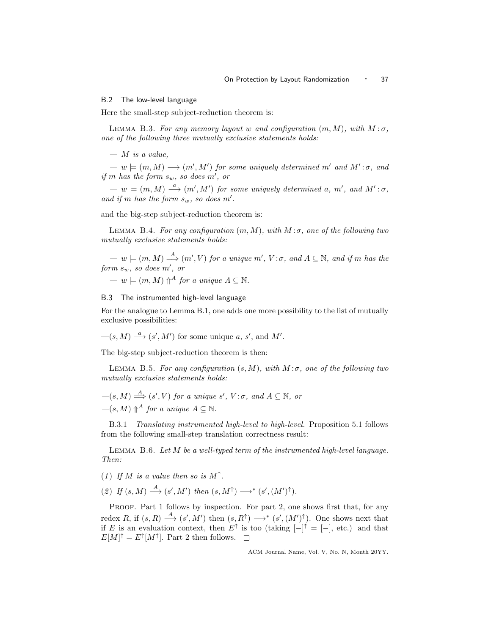#### B.2 The low-level language

Here the small-step subject-reduction theorem is:

LEMMA B.3. For any memory layout w and configuration  $(m, M)$ , with  $M : \sigma$ , one of the following three mutually exclusive statements holds:

 $-$  M is a value,

 $- w \models (m, M) \longrightarrow (m', M')$  for some uniquely determined m' and  $M'$ : $\sigma$ , and if  $m$  has the form  $s_w$ , so does  $m'$ , or

 $-\omega \models (m, M) \stackrel{a}{\longrightarrow} (m', M')$  for some uniquely determined a, m', and  $M' : \sigma$ , and if m has the form  $s_w$ , so does m'.

and the big-step subject-reduction theorem is:

LEMMA B.4. For any configuration  $(m, M)$ , with  $M : \sigma$ , one of the following two mutually exclusive statements holds:

 $- w \models (m, M) \stackrel{A}{\Longrightarrow} (m', V)$  for a unique  $m', V : \sigma$ , and  $A \subseteq \mathbb{N}$ , and if m has the form  $s_w$ , so does  $m^\prime,$  or

 $- w \models (m, M) \uparrow^{A}$  for a unique  $A \subseteq \mathbb{N}$ .

# B.3 The instrumented high-level language

For the analogue to Lemma B.1, one adds one more possibility to the list of mutually exclusive possibilities:

 $-(s, M) \stackrel{a}{\longrightarrow} (s', M')$  for some unique a, s', and M'.

The big-step subject-reduction theorem is then:

LEMMA B.5. For any configuration  $(s, M)$ , with  $M : \sigma$ , one of the following two mutually exclusive statements holds:

$$
-(s, M) \stackrel{A}{\Longrightarrow} (s', V) \text{ for a unique } s', V : \sigma, \text{ and } A \subseteq \mathbb{N}, \text{ or } -(s, M) \uparrow A \text{ for a unique } A \subseteq \mathbb{N}.
$$

B.3.1 Translating instrumented high-level to high-level. Proposition 5.1 follows from the following small-step translation correctness result:

LEMMA B.6. Let  $M$  be a well-typed term of the instrumented high-level language. Then:

- (1) If M is a value then so is  $M^{\uparrow}$ .
- (2) If  $(s, M) \stackrel{A}{\longrightarrow} (s', M')$  then  $(s, M^{\uparrow}) \longrightarrow^* (s', (M')^{\uparrow}).$

PROOF. Part 1 follows by inspection. For part 2, one shows first that, for any redex R, if  $(s, R) \stackrel{A}{\longrightarrow} (s', M')$  then  $(s, R^{\uparrow}) \longrightarrow^* (s', (M')^{\uparrow})$ . One shows next that if E is an evaluation context, then  $E^{\uparrow}$  is too (taking  $[-]^{\uparrow} = [-]$ , etc.) and that  $E[M]$ <sup> $\uparrow$ </sup> =  $E \uparrow [M \uparrow]$ . Part 2 then follows.